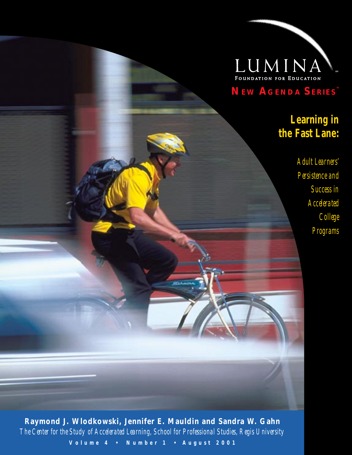

**NEW AGENDA SERIES™**

## **Learning in the Fast Lane:**

*Adult Learners' Persistence and Success in Accelerated College Programs*

**Raymond J. Wlodkowski, Jennifer E. Mauldin and Sandra W. Gahn** *The Center for the Study of Accelerated Learning, School for Professional Studies, Regis University* V o lume 4 · Number 1 · August 2001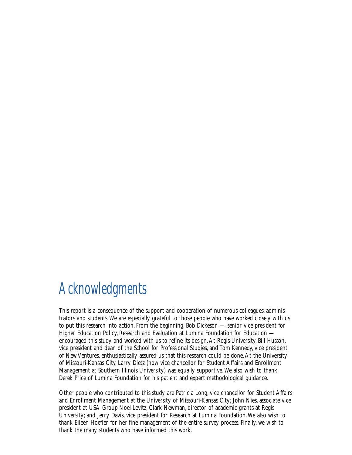# Acknowledgments

This report is a consequence of the support and cooperation of numerous colleagues, administrators and students. We are especially grateful to those people who have worked closely with us to put this research into action. From the beginning, Bob Dickeson — senior vice president for Higher Education Policy, Research and Evaluation at Lumina Foundation for Education encouraged this study and worked with us to refine its design. At Regis University, Bill Husson, vice president and dean of the School for Professional Studies, and Tom Kennedy, vice president of New Ventures, enthusiastically assured us that this research could be done. At the University of Missouri-Kansas City, Larry Dietz (now vice chancellor for Student Affairs and Enrollment Management at Southern Illinois University) was equally supportive. We also wish to thank Derek Price of Lumina Foundation for his patient and expert methodological guidance.

Other people who contributed to this study are Patricia Long, vice chancellor for Student Affairs and Enrollment Management at the University of Missouri-Kansas City; John Nies, associate vice president at USA Group-Noel-Levitz; Clark Newman, director of academic grants at Regis University; and Jerry Davis, vice president for Research at Lumina Foundation. We also wish to thank Eileen Hoefler for her fine management of the entire survey process. Finally, we wish to thank the many students who have informed this work.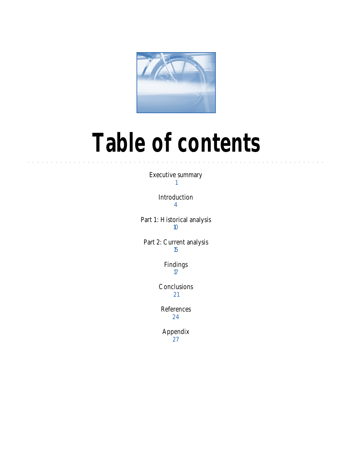

# **Table of contents**

Executive summary 1

aaaaaaaaaaaaaaaaaaaaaaaaaaaaaaaaaaa aaaaaaaaaaaaaaaaaaaaaaaaaaaaaa

Introduction 4

Part 1: Historical analysis 10

Part 2: Current analysis 15

> Findings 17

Conclusions 21

References 24

Appendix 27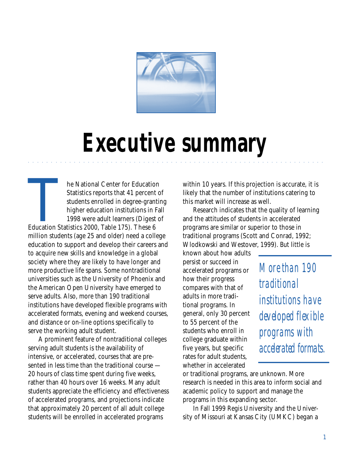

# **Executive summary**

aaaaaaaaaaaaaaaaaaaaaaaaaaaaaaaaaaa aaaaaaaaaaaaaaaaaaaaaaaaaaaaaa

The National Center for Education<br>
Statistics reports that 41 percent of<br>
students enrolled in degree-granti<br>
higher education institutions in Fa<br>
1998 were adult learners (Digest of<br>
Education Statistics 2000, Table 175). Statistics reports that 41 percent of students enrolled in degree-granting higher education institutions in Fall 1998 were adult learners (Digest of million students (age 25 and older) need a college education to support and develop their careers and to acquire new skills and knowledge in a global society where they are likely to have longer and more productive life spans. Some nontraditional universities such as the University of Phoenix and the American Open University have emerged to serve adults. Also, more than 190 traditional institutions have developed flexible programs with accelerated formats, evening and weekend courses, and distance or on-line options specifically to serve the working adult student.

A prominent feature of nontraditional colleges serving adult students is the availability of intensive, or accelerated, courses that are presented in less time than the traditional course — 20 hours of class time spent during five weeks, rather than 40 hours over 16 weeks. Many adult students appreciate the efficiency and effectiveness of accelerated programs, and projections indicate that approximately 20 percent of all adult college students will be enrolled in accelerated programs

within 10 years. If this projection is accurate, it is likely that the number of institutions catering to this market will increase as well.

Research indicates that the quality of learning and the attitudes of students in accelerated programs are similar or superior to those in traditional programs (Scott and Conrad, 1992; Wlodkowski and Westover, 1999). But little is

known about how adults persist or succeed in accelerated programs or how their progress compares with that of adults in more traditional programs. In general, only 30 percent to 55 percent of the students who enroll in college graduate within five years, but specific rates for adult students, whether in accelerated

*More than 190 traditional institutions have developed flexible programs with accelerated formats.*

or traditional programs, are unknown. More research is needed in this area to inform social and academic policy to support and manage the programs in this expanding sector.

In Fall 1999 Regis University and the University of Missouri at Kansas City (UMKC) began a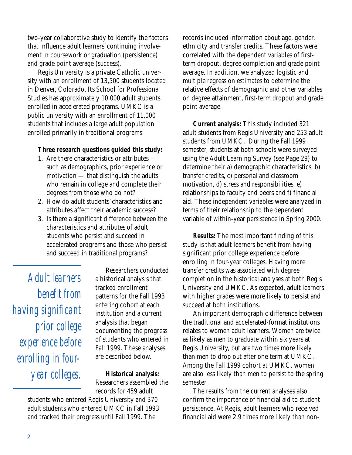two-year collaborative study to identify the factors that influence adult learners' continuing involvement in coursework or graduation (persistence) and grade point average (success).

Regis University is a private Catholic university with an enrollment of 13,500 students located in Denver, Colorado. Its School for Professional Studies has approximately 10,000 adult students enrolled in accelerated programs. UMKC is a public university with an enrollment of 11,000 students that includes a large adult population enrolled primarily in traditional programs.

#### **Three research questions guided this study:**

- 1. Are there characteristics or attributes such as demographics, prior experience or motivation — that distinguish the adults who remain in college and complete their degrees from those who do not?
- 2. How do adult students' characteristics and attributes affect their academic success?
- 3. Is there a significant difference between the characteristics and attributes of adult students who persist and succeed in accelerated programs and those who persist and succeed in traditional programs?

*Adult learners benefit from having significant prior college experience before enrolling in fouryear colleges.*

Researchers conducted a historical analysis that tracked enrollment patterns for the Fall 1993 entering cohort at each institution and a current analysis that began documenting the progress of students who entered in Fall 1999. These analyses are described below.

**Historical analysis:** Researchers assembled the records for 459 adult

students who entered Regis University and 370 adult students who entered UMKC in Fall 1993 and tracked their progress until Fall 1999. The

records included information about age, gender, ethnicity and transfer credits. These factors were correlated with the dependent variables of firstterm dropout, degree completion and grade point average. In addition, we analyzed logistic and multiple regression estimates to determine the relative effects of demographic and other variables on degree attainment, first-term dropout and grade point average.

**Current analysis:** This study included 321 adult students from Regis University and 253 adult students from UMKC. During the Fall 1999 semester, students at both schools were surveyed using the Adult Learning Survey (see Page 29) to determine their a) demographic characteristics, b) transfer credits, c) personal and classroom motivation, d) stress and responsibilities, e) relationships to faculty and peers and f) financial aid. These independent variables were analyzed in terms of their relationship to the dependent variable of within-year persistence in Spring 2000.

**Results:** The most important finding of this study is that adult learners benefit from having significant prior college experience before enrolling in four-year colleges. Having more transfer credits was associated with degree completion in the historical analyses at both Regis University and UMKC. As expected, adult learners with higher grades were more likely to persist and succeed at both institutions.

An important demographic difference between the traditional and accelerated-format institutions relates to women adult learners. Women are twice as likely as men to graduate within six years at Regis University, but are two times more likely than men to drop out after one term at UMKC. Among the Fall 1999 cohort at UMKC, women are also less likely than men to persist to the spring semester.

The results from the current analyses also confirm the importance of financial aid to student persistence. At Regis, adult learners who received financial aid were 2.9 times more likely than non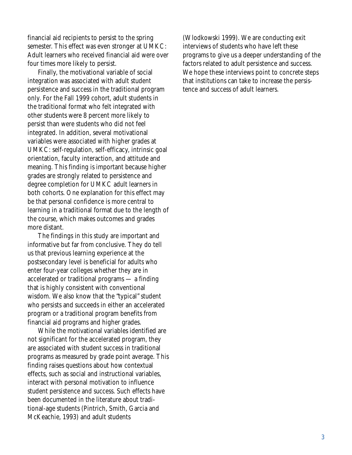financial aid recipients to persist to the spring semester. This effect was even stronger at UMKC: Adult learners who received financial aid were over four times more likely to persist.

Finally, the motivational variable of social integration was associated with adult student persistence and success in the traditional program only. For the Fall 1999 cohort, adult students in the traditional format who felt integrated with other students were 8 percent more likely to persist than were students who did not feel integrated. In addition, several motivational variables were associated with higher grades at UMKC: self-regulation, self-efficacy, intrinsic goal orientation, faculty interaction, and attitude and meaning. This finding is important because higher grades are strongly related to persistence and degree completion for UMKC adult learners in both cohorts. One explanation for this effect may be that personal confidence is more central to learning in a traditional format due to the length of the course, which makes outcomes and grades more distant.

The findings in this study are important and informative but far from conclusive. They do tell us that previous learning experience at the postsecondary level is beneficial for adults who enter four-year colleges whether they are in accelerated or traditional programs — a finding that is highly consistent with conventional wisdom. We also know that the "typical" student who persists and succeeds in either an accelerated program or a traditional program benefits from financial aid programs and higher grades.

While the motivational variables identified are not significant for the accelerated program, they are associated with student success in traditional programs as measured by grade point average. This finding raises questions about how contextual effects, such as social and instructional variables, interact with personal motivation to influence student persistence and success. Such effects have been documented in the literature about traditional-age students (Pintrich, Smith, Garcia and McKeachie, 1993) and adult students

(Wlodkowski 1999). We are conducting exit interviews of students who have left these programs to give us a deeper understanding of the factors related to adult persistence and success. We hope these interviews point to concrete steps that institutions can take to increase the persistence and success of adult learners.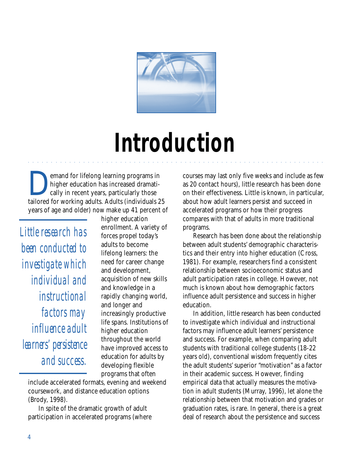

# **Introduction**

aaaaaaaaaaaaaaaaaaaaaaaaaaaaaaaaaaa aaaaaaaaaaaaaaaaaaaaaaaaaaaaaa

**Demand for lifelong learning programs in**<br>
higher education has increased dramati-<br>
cally in recent years, particularly those higher education has increased dramatitailored for working adults. Adults (individuals 25 years of age and older) now make up 41 percent of

*Little research has been conducted to investigate which individual and instructional factors may influence adult learners' persistence and success.*

higher education enrollment. A variety of forces propel today's adults to become lifelong learners: the need for career change and development, acquisition of new skills and knowledge in a rapidly changing world, and longer and increasingly productive life spans. Institutions of higher education throughout the world have improved access to education for adults by developing flexible programs that often

include accelerated formats, evening and weekend coursework, and distance education options (Brody, 1998).

In spite of the dramatic growth of adult participation in accelerated programs (where courses may last only five weeks and include as few as 20 contact hours), little research has been done on their effectiveness. Little is known, in particular, about how adult learners persist and succeed in accelerated programs or how their progress compares with that of adults in more traditional programs.

Research has been done about the relationship between adult students' demographic characteristics and their entry into higher education (Cross, 1981). For example, researchers find a consistent relationship between socioeconomic status and adult participation rates in college. However, not much is known about how demographic factors influence adult persistence and success in higher education.

In addition, little research has been conducted to investigate which individual and instructional factors may influence adult learners' persistence and success. For example, when comparing adult students with traditional college students (18-22 years old), conventional wisdom frequently cites the adult students' superior "motivation" as a factor in their academic success. However, finding empirical data that actually measures the motivation in adult students (Murray, 1996), let alone the relationship between that motivation and grades or graduation rates, is rare. In general, there is a great deal of research about the persistence and success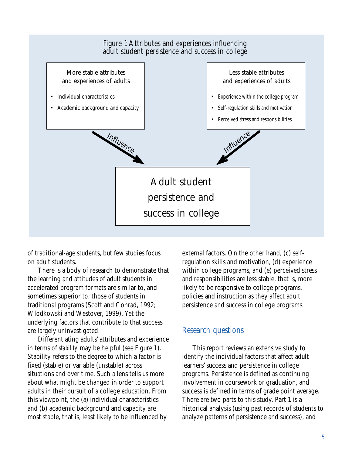

of traditional-age students, but few studies focus on adult students.

There is a body of research to demonstrate that the learning and attitudes of adult students in accelerated program formats are similar to, and sometimes superior to, those of students in traditional programs (Scott and Conrad, 1992; Wlodkowski and Westover, 1999). Yet the underlying factors that contribute to that success are largely uninvestigated.

Differentiating adults' attributes and experience in terms of *stability* may be helpful (see Figure 1). Stability refers to the degree to which a factor is fixed (stable) or variable (unstable) across situations and over time. Such a lens tells us more about what might be changed in order to support adults in their pursuit of a college education. From this viewpoint, the (a) individual characteristics and (b) academic background and capacity are most stable, that is, least likely to be influenced by

external factors. On the other hand, (c) selfregulation skills and motivation, (d) experience within college programs, and (e) perceived stress and responsibilities are less stable, that is, more likely to be responsive to college programs, policies and instruction as they affect adult persistence and success in college programs.

### Research questions

This report reviews an extensive study to identify the individual factors that affect adult learners' success and persistence in college programs. Persistence is defined as continuing involvement in coursework or graduation, and success is defined in terms of grade point average. There are two parts to this study. Part 1 is a historical analysis (using past records of students to analyze patterns of persistence and success), and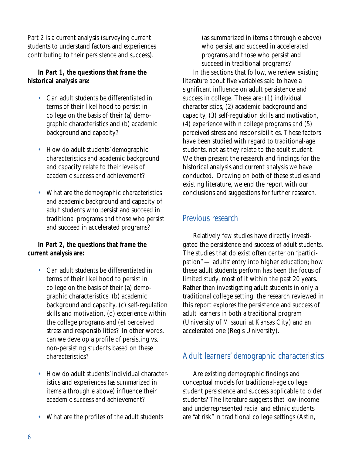Part 2 is a current analysis (surveying current students to understand factors and experiences contributing to their persistence and success).

### **In Part 1, the questions that frame the historical analysis are:**

- Can adult students be differentiated in terms of their likelihood to persist in college on the basis of their (a) demographic characteristics and (b) academic background and capacity?
- How do adult students' demographic characteristics and academic background and capacity relate to their levels of academic success and achievement?
- What are the demographic characteristics and academic background and capacity of adult students who persist and succeed in traditional programs and those who persist and succeed in accelerated programs?

### **In Part 2, the questions that frame the current analysis are:**

- Can adult students be differentiated in terms of their likelihood to persist in college on the basis of their (a) demographic characteristics, (b) academic background and capacity, (c) self-regulation skills and motivation, (d) experience within the college programs and (e) perceived stress and responsibilities? In other words, can we develop a profile of persisting vs. non-persisting students based on these characteristics?
- How do adult students' individual characteristics and experiences (as summarized in items a through e above) influence their academic success and achievement?
- What are the profiles of the adult students

(as summarized in items a through e above) who persist and succeed in accelerated programs and those who persist and succeed in traditional programs?

In the sections that follow, we review existing literature about five variables said to have a significant influence on adult persistence and success in college. These are: (1) individual characteristics, (2) academic background and capacity, (3) self-regulation skills and motivation, (4) experience within college programs and (5) perceived stress and responsibilities. These factors have been studied with regard to traditional-age students, not as they relate to the adult student. We then present the research and findings for the historical analysis and current analysis we have conducted. Drawing on both of these studies and existing literature, we end the report with our conclusions and suggestions for further research.

### Previous research

Relatively few studies have directly investigated the persistence and success of adult students. The studies that do exist often center on "participation" — adults' entry into higher education; how these adult students perform has been the focus of limited study, most of it within the past 20 years. Rather than investigating adult students in only a traditional college setting, the research reviewed in this report explores the persistence and success of adult learners in both a traditional program (University of Missouri at Kansas City) and an accelerated one (Regis University).

### Adult learners' demographic characteristics

Are existing demographic findings and conceptual models for traditional-age college student persistence and success applicable to older students? The literature suggests that low-income and underrepresented racial and ethnic students are "at risk" in traditional college settings (Astin,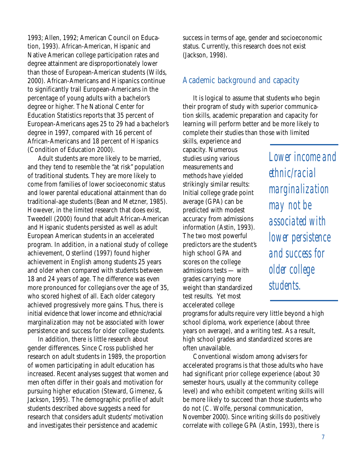1993; Allen, 1992; American Council on Education, 1993). African-American, Hispanic and Native American college participation rates and degree attainment are disproportionately lower than those of European-American students (Wilds, 2000). African-Americans and Hispanics continue to significantly trail European-Americans in the percentage of young adults with a bachelor's degree or higher. The National Center for Education Statistics reports that 35 percent of European-Americans ages 25 to 29 had a bachelor's degree in 1997, compared with 16 percent of African-Americans and 18 percent of Hispanics (Condition of Education 2000).

Adult students are more likely to be married, and they tend to resemble the "at risk" population of traditional students. They are more likely to come from families of lower socioeconomic status and lower parental educational attainment than do traditional-age students (Bean and Metzner, 1985). However, in the limited research that does exist, Tweedell (2000) found that adult African-American and Hispanic students persisted as well as adult European American students in an accelerated program. In addition, in a national study of college achievement, Osterlind (1997) found higher achievement in English among students 25 years and older when compared with students between 18 and 24 years of age. The difference was even more pronounced for collegians over the age of 35, who scored highest of all. Each older category achieved progressively more gains. Thus, there is initial evidence that lower income and ethnic/racial marginalization may not be associated with lower persistence and success for older college students.

In addition, there is little research about gender differences. Since Cross published her research on adult students in 1989, the proportion of women participating in adult education has increased. Recent analyses suggest that women and men often differ in their goals and motivation for pursuing higher education (Steward, Gimenez, & Jackson, 1995). The demographic profile of adult students described above suggests a need for research that considers adult students' motivation and investigates their persistence and academic

success in terms of age, gender and socioeconomic status. Currently, this research does not exist (Jackson, 1998).

### Academic background and capacity

It is logical to assume that students who begin their program of study with superior communication skills, academic preparation and capacity for learning will perform better and be more likely to complete their studies than those with limited

skills, experience and capacity. Numerous studies using various measurements and methods have yielded strikingly similar results: Initial college grade point average (GPA) can be predicted with modest accuracy from admissions information (Astin, 1993). The two most powerful predictors are the student's high school GPA and scores on the college admissions tests — with grades carrying more weight than standardized test results. Yet most accelerated college

*Lower income and ethnic/racial marginalization may not be associated with lower persistence and success for older college students.*

programs for adults require very little beyond a high school diploma, work experience (about three years on average), and a writing test. As a result, high school grades and standardized scores are often unavailable.

Conventional wisdom among advisers for accelerated programs is that those adults who have had significant prior college experience (about 30 semester hours, usually at the community college level) and who exhibit competent writing skills will be more likely to succeed than those students who do not (C. Wolfe, personal communication, November 2000). Since writing skills do positively correlate with college GPA (Astin, 1993), there is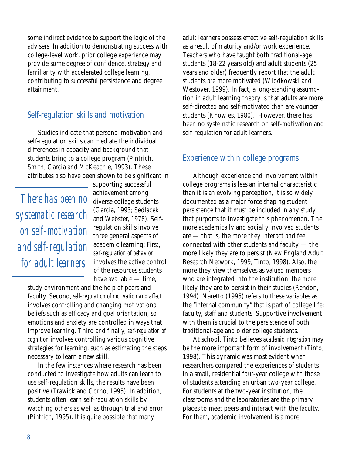some indirect evidence to support the logic of the advisers. In addition to demonstrating success with college-level work, prior college experience may provide some degree of confidence, strategy and familiarity with accelerated college learning, contributing to successful persistence and degree attainment.

### Self-regulation skills and motivation

Studies indicate that personal motivation and self-regulation skills can mediate the individual differences in capacity and background that students bring to a college program (Pintrich, Smith, Garcia and McKeachie, 1993). These attributes also have been shown to be significant in

*There has been no systematic research on self-motivation and self-regulation for adult learners.*

supporting successful achievement among diverse college students (Garcia, 1993; Sedlacek and Webster, 1978). Selfregulation skills involve three general aspects of academic learning: First, *self-regulation of behavior* involves the active control of the resources students have available — time,

study environment and the help of peers and faculty. Second, *self-regulation of motivation and affect* involves controlling and changing motivational beliefs such as efficacy and goal orientation, so emotions and anxiety are controlled in ways that improve learning. Third and finally, *self-regulation of cognition* involves controlling various cognitive strategies for learning, such as estimating the steps necessary to learn a new skill.

In the few instances where research has been conducted to investigate how adults can learn to use self-regulation skills, the results have been positive (Trawick and Corno, 1995). In addition, students often learn self-regulation skills by watching others as well as through trial and error (Pintrich, 1995). It is quite possible that many

adult learners possess effective self-regulation skills as a result of maturity and/or work experience. Teachers who have taught both traditional-age students (18-22 years old) and adult students (25 years and older) frequently report that the adult students are more motivated (Wlodkowski and Westover, 1999). In fact, a long-standing assumption in adult learning theory is that adults are more self-directed and self-motivated than are younger students (Knowles, 1980). However, there has been no systematic research on self-motivation and self-regulation for adult learners.

### Experience within college programs

Although experience and involvement within college programs is less an internal characteristic than it is an evolving perception, it is so widely documented as a major force shaping student persistence that it must be included in any study that purports to investigate this phenomenon. The more academically and socially involved students are — that is, the more they interact and feel connected with other students and faculty — the more likely they are to persist (New England Adult Research Network, 1999; Tinto, 1998). Also, the more they view themselves as valued members who are integrated into the institution, the more likely they are to persist in their studies (Rendon, 1994). Naretto (1995) refers to these variables as the "internal community" that is part of college life: faculty, staff and students. Supportive involvement with them is crucial to the persistence of both traditional-age and older college students.

At school, Tinto believes *academic integration* may be the more important form of involvement (Tinto, 1998). This dynamic was most evident when researchers compared the experiences of students in a small, residential four-year college with those of students attending an urban two-year college. For students at the two-year institution, the classrooms and the laboratories are the primary places to meet peers and interact with the faculty. For them, academic involvement is a more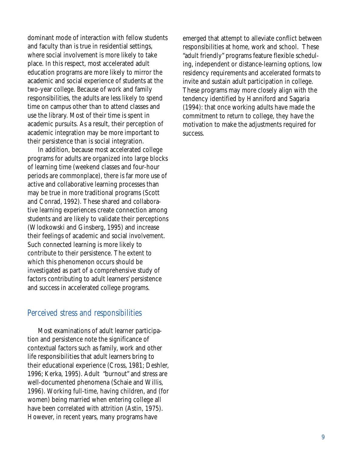dominant mode of interaction with fellow students and faculty than is true in residential settings, where social involvement is more likely to take place. In this respect, most accelerated adult education programs are more likely to mirror the academic and social experience of students at the two-year college. Because of work and family responsibilities, the adults are less likely to spend time on campus other than to attend classes and use the library. Most of their time is spent in academic pursuits. As a result, their perception of academic integration may be more important to their persistence than is social integration.

In addition, because most accelerated college programs for adults are organized into large blocks of learning time (weekend classes and four-hour periods are commonplace), there is far more use of active and collaborative learning processes than may be true in more traditional programs (Scott and Conrad, 1992). These shared and collaborative learning experiences create connection among students and are likely to validate their perceptions (Wlodkowski and Ginsberg, 1995) and increase their feelings of academic and social involvement. Such connected learning is more likely to contribute to their persistence. The extent to which this phenomenon occurs should be investigated as part of a comprehensive study of factors contributing to adult learners' persistence and success in accelerated college programs.

### Perceived stress and responsibilities

Most examinations of adult learner participation and persistence note the significance of contextual factors such as family, work and other life responsibilities that adult learners bring to their educational experience (Cross, 1981; Deshler, 1996; Kerka, 1995). Adult "burnout" and stress are well-documented phenomena (Schaie and Willis, 1996). Working full-time, having children, and (for women) being married when entering college all have been correlated with attrition (Astin, 1975). However, in recent years, many programs have

emerged that attempt to alleviate conflict between responsibilities at home, work and school. These "adult friendly" programs feature flexible scheduling, independent or distance-learning options, low residency requirements and accelerated formats to invite and sustain adult participation in college. These programs may more closely align with the tendency identified by Hanniford and Sagaria (1994): that once working adults have made the commitment to return to college, they have the motivation to make the adjustments required for success.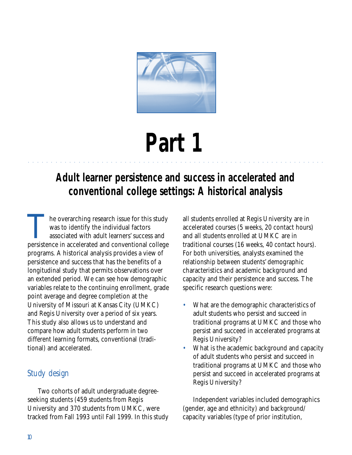

# **Part 1**

# **Adult learner persistence and success in accelerated and conventional college settings: A historical analysis**

aaaaaaaaaaaaaaaaaaaaaaaaaaaaaaaaaaa aaaaaaaaaaaaaaaaaaaaaaaaaaaaaa

The overarching research issue for this study was to identify the individual factors associated with adult learners' success and persistence in accelerated and conventional college programs. A historical analysis provides a view of persistence and success that has the benefits of a longitudinal study that permits observations over an extended period. We can see how demographic variables relate to the continuing enrollment, grade point average and degree completion at the University of Missouri at Kansas City (UMKC) and Regis University over a period of six years. This study also allows us to understand and compare how adult students perform in two different learning formats, conventional (traditional) and accelerated.

### Study design

Two cohorts of adult undergraduate degreeseeking students (459 students from Regis University and 370 students from UMKC, were tracked from Fall 1993 until Fall 1999. In this study

all students enrolled at Regis University are in accelerated courses (5 weeks, 20 contact hours) and all students enrolled at UMKC are in traditional courses (16 weeks, 40 contact hours). For both universities, analysts examined the relationship between students' demographic characteristics and academic background and capacity and their persistence and success. The specific research questions were:

- What are the demographic characteristics of adult students who persist and succeed in traditional programs at UMKC and those who persist and succeed in accelerated programs at Regis University?
- What is the academic background and capacity of adult students who persist and succeed in traditional programs at UMKC and those who persist and succeed in accelerated programs at Regis University?

Independent variables included demographics (gender, age and ethnicity) and background/ capacity variables (type of prior institution,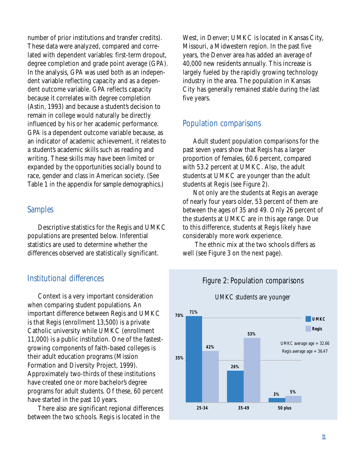number of prior institutions and transfer credits). These data were analyzed, compared and correlated with dependent variables: first-term dropout, degree completion and grade point average (GPA). In the analysis, GPA was used both as an independent variable reflecting capacity and as a dependent outcome variable. GPA reflects capacity because it correlates with degree completion (Astin, 1993) and because a student's decision to remain in college would naturally be directly influenced by his or her academic performance. GPA is a dependent outcome variable because, as an indicator of academic achievement, it relates to a student's academic skills such as reading and writing. These skills may have been limited or expanded by the opportunities socially bound to race, gender and class in American society. (See Table 1 in the appendix for sample demographics.)

### Samples

Descriptive statistics for the Regis and UMKC populations are presented below. Inferential statistics are used to determine whether the differences observed are statistically significant.

### Institutional differences

Context is a very important consideration when comparing student populations. An important difference between Regis and UMKC is that Regis (enrollment 13,500) is a private Catholic university while UMKC (enrollment 11,000) is a public institution. One of the fastestgrowing components of faith-based colleges is their adult education programs (Mission Formation and Diversity Project, 1999). Approximately two-thirds of these institutions have created one or more bachelor's degree programs for adult students. Of these, 60 percent have started in the past 10 years.

There also are significant regional differences between the two schools. Regis is located in the

West, in Denver; UMKC is located in Kansas City, Missouri, a Midwestern region. In the past five years, the Denver area has added an average of 40,000 new residents annually. This increase is largely fueled by the rapidly growing technology industry in the area. The population in Kansas City has generally remained stable during the last five years.

### Population comparisons

Adult student population comparisons for the past seven years show that Regis has a larger proportion of females, 60.6 percent, compared with 53.2 percent at UMKC. Also, the adult students at UMKC are younger than the adult students at Regis (see Figure 2).

Not only are the students at Regis an average of nearly four years older, 53 percent of them are between the ages of 35 and 49. Only 26 percent of the students at UMKC are in this age range. Due to this difference, students at Regis likely have considerably more work experience.

 The ethnic mix at the two schools differs as well (see Figure 3 on the next page).



### UMKC students are younger

Figure 2: Population comparisons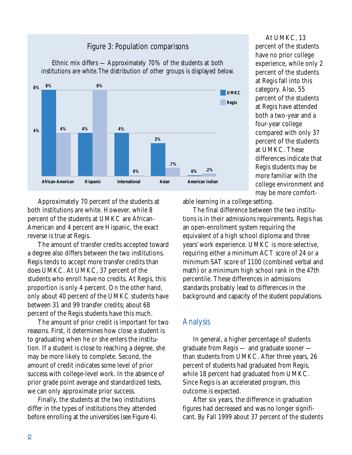### Figure 3: Population comparisons



Ethnic mix differs — Approximately 70% of the students at both institutions are white. The distribution of other groups is displayed below.

At UMKC, 13 percent of the students have no prior college experience, while only 2 percent of the students at Regis fall into this category. Also, 55 percent of the students at Regis have attended both a two-year and a four-year college compared with only 37 percent of the students at UMKC. These differences indicate that Regis students may be more familiar with the college environment and may be more comfort-

Approximately 70 percent of the students at both institutions are white. However, while 8 percent of the students at UMKC are African-American and 4 percent are Hispanic, the exact reverse is true at Regis.

The amount of transfer credits accepted toward a degree also differs between the two institutions. Regis tends to accept more transfer credits than does UMKC. At UMKC, 37 percent of the students who enroll have no credits. At Regis, this proportion is only 4 percent. On the other hand, only about 40 percent of the UMKC students have between 31 and 99 transfer credits; about 68 percent of the Regis students have this much.

The amount of prior credit is important for two reasons. First, it determines how close a student is to graduating when he or she enters the institution. If a student is close to reaching a degree, she may be more likely to complete. Second, the amount of credit indicates some level of prior success with college-level work. In the absence of prior grade point average and standardized tests, we can only approximate prior success.

Finally, the students at the two institutions differ in the types of institutions they attended before enrolling at the universities (see Figure 4). able learning in a college setting.

The final difference between the two institutions is in their admissions requirements. Regis has an open-enrollment system requiring the equivalent of a high school diploma and three years' work experience. UMKC is more selective, requiring either a minimum ACT score of 24 or a minimum SAT score of 1100 (combined verbal and math) or a minimum high school rank in the 47th percentile. These differences in admissions standards probably lead to differences in the background and capacity of the student populations.

### Analysis

In general, a higher percentage of students graduate from Regis — and graduate sooner than students from UMKC. After three years, 26 percent of students had graduated from Regis, while 18 percent had graduated from UMKC. Since Regis is an accelerated program, this outcome is expected.

After six years, the difference in graduation figures had decreased and was no longer significant. By Fall 1999 about 37 percent of the students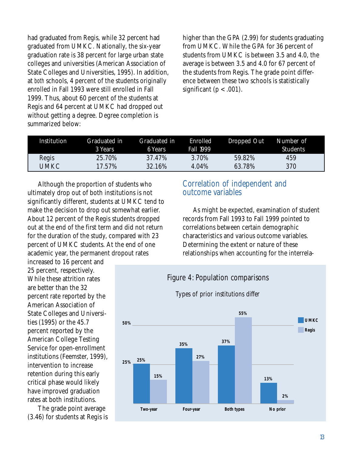had graduated from Regis, while 32 percent had graduated from UMKC. Nationally, the six-year graduation rate is 38 percent for large urban state colleges and universities (American Association of State Colleges and Universities, 1995). In addition, at *both* schools, 4 percent of the students originally enrolled in Fall 1993 were still enrolled in Fall 1999. Thus, about 60 percent of the students at Regis and 64 percent at UMKC had dropped out without getting a degree. Degree completion is summarized below:

higher than the GPA (2.99) for students graduating from UMKC. While the GPA for 36 percent of students from UMKC is between 3.5 and 4.0, the average is between 3.5 and 4.0 for 67 percent of the students from Regis. The grade point difference between these two schools is statistically significant ( $p < .001$ ).

| Institution | Graduated in<br><b>3 Years</b> | Graduated in<br>6 Years | <b>Enrolled</b><br><b>Fall 1999</b> | Dropped Out | Number of<br><b>Students</b> |
|-------------|--------------------------------|-------------------------|-------------------------------------|-------------|------------------------------|
| Regis       | 25.70%                         | 37.47%                  | 3.70%                               | 59.82%      | 459                          |
| UMKC        | 17.57%                         | 32.16%                  | 4.04%                               | 63.78%      | 370                          |

Although the proportion of students who ultimately drop out of both institutions is not significantly different, students at UMKC tend to make the decision to drop out somewhat earlier. About 12 percent of the Regis students dropped out at the end of the first term and did not return for the duration of the study, compared with 23 percent of UMKC students. At the end of one academic year, the permanent dropout rates

increased to 16 percent and 25 percent, respectively. While these attrition rates are better than the 32 percent rate reported by the American Association of State Colleges and Universities (1995) or the 45.7 percent reported by the American College Testing Service for open-enrollment institutions (Feemster, 1999), intervention to increase retention during this early critical phase would likely have improved graduation rates at both institutions.

The grade point average (3.46) for students at Regis is

### Correlation of independent and outcome variables

As might be expected, examination of student records from Fall 1993 to Fall 1999 pointed to correlations between certain demographic characteristics and various outcome variables. Determining the extent or nature of these relationships when accounting for the interrela-

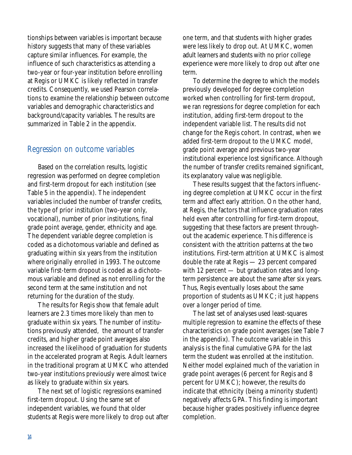tionships between variables is important because history suggests that many of these variables capture similar influences. For example, the influence of such characteristics as attending a two-year or four-year institution before enrolling at Regis or UMKC is likely reflected in transfer credits. Consequently, we used Pearson correlations to examine the relationship between outcome variables and demographic characteristics and background/capacity variables. The results are summarized in Table 2 in the appendix.

### Regression on outcome variables

Based on the correlation results, logistic regression was performed on degree completion and first-term dropout for each institution (see Table 5 in the appendix). The independent variables included the number of transfer credits, the type of prior institution (two-year only, vocational), number of prior institutions, final grade point average, gender, ethnicity and age. The dependent variable degree completion is coded as a dichotomous variable and defined as graduating within six years from the institution where originally enrolled in 1993. The outcome variable first-term dropout is coded as a dichotomous variable and defined as not enrolling for the second term at the same institution and not returning for the duration of the study.

The results for Regis show that female adult learners are 2.3 times more likely than men to graduate within six years. The number of institutions previously attended, the amount of transfer credits, and higher grade point averages also increased the likelihood of graduation for students in the accelerated program at Regis. Adult learners in the traditional program at UMKC who attended two-year institutions previously were almost twice as likely to graduate within six years.

The next set of logistic regressions examined first-term dropout. Using the same set of independent variables, we found that older students at Regis were more likely to drop out after one term, and that students with higher grades were less likely to drop out. At UMKC, women adult learners and students with no prior college experience were more likely to drop out after one term.

To determine the degree to which the models previously developed for degree completion worked when controlling for first-term dropout, we ran regressions for degree completion for each institution, adding first-term dropout to the independent variable list. The results did not change for the Regis cohort. In contrast, when we added first-term dropout to the UMKC model, grade point average and previous two-year institutional experience lost significance. Although the number of transfer credits remained significant, its explanatory value was negligible.

These results suggest that the factors influencing degree completion at UMKC occur in the first term and affect early attrition. On the other hand, at Regis, the factors that influence graduation rates held even after controlling for first-term dropout, suggesting that these factors are present throughout the academic experience. This difference is consistent with the attrition patterns at the two institutions. First-term attrition at UMKC is almost double the rate at Regis — 23 percent compared with 12 percent — but graduation rates and longterm persistence are about the same after six years. Thus, Regis eventually loses about the same proportion of students as UMKC; it just happens over a longer period of time.

The last set of analyses used least-squares multiple regression to examine the effects of these characteristics on grade point averages (see Table 7 in the appendix). The outcome variable in this analysis is the final cumulative GPA for the last term the student was enrolled at the institution. Neither model explained much of the variation in grade point averages (6 percent for Regis and 8 percent for UMKC); however, the results do indicate that ethnicity (being a minority student) negatively affects GPA. This finding is important because higher grades positively influence degree completion.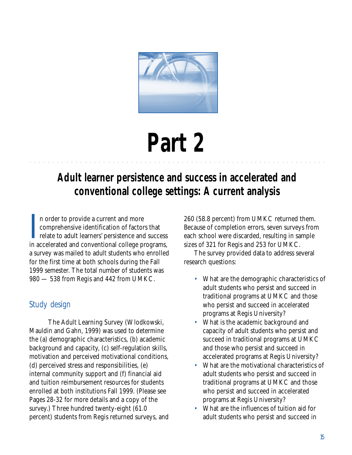

# **Part 2**

# **Adult learner persistence and success in accelerated and conventional college settings: A current analysis**

aaaaaaaaaaaaaaaaaaaaaaaaaaaaaaaaaaa aaaaaaaaaaaaaaaaaaaaaaaaaaaaaa

I n order to provide a current and more comprehensive identification of factors that relate to adult learners' persistence and success in accelerated and conventional college programs, a survey was mailed to adult students who enrolled for the first time at both schools during the Fall 1999 semester. The total number of students was 980 — 538 from Regis and 442 from UMKC.

### Study design

The Adult Learning Survey (Wlodkowski, Mauldin and Gahn, 1999) was used to determine the (a) demographic characteristics, (b) academic background and capacity, (c) self-regulation skills, motivation and perceived motivational conditions, (d) perceived stress and responsibilities, (e) internal community support and (f) financial aid and tuition reimbursement resources for students enrolled at both institutions Fall 1999. (Please see Pages 28-32 for more details and a copy of the survey.) Three hundred twenty-eight (61.0 percent) students from Regis returned surveys, and

260 (58.8 percent) from UMKC returned them. Because of completion errors, seven surveys from each school were discarded, resulting in sample sizes of 321 for Regis and 253 for UMKC.

The survey provided data to address several research questions:

- What are the demographic characteristics of adult students who persist and succeed in traditional programs at UMKC and those who persist and succeed in accelerated programs at Regis University?
- What is the academic background and capacity of adult students who persist and succeed in traditional programs at UMKC and those who persist and succeed in accelerated programs at Regis University?
- What are the motivational characteristics of adult students who persist and succeed in traditional programs at UMKC and those who persist and succeed in accelerated programs at Regis University?
- What are the influences of tuition aid for adult students who persist and succeed in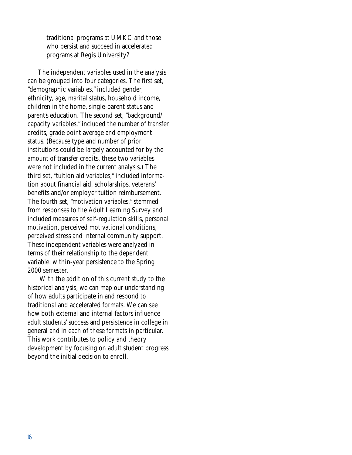traditional programs at UMKC and those who persist and succeed in accelerated programs at Regis University?

The independent variables used in the analysis can be grouped into four categories. The first set, "demographic variables," included gender, ethnicity, age, marital status, household income, children in the home, single-parent status and parent's education. The second set, "background/ capacity variables," included the number of transfer credits, grade point average and employment status. (Because type and number of prior institutions could be largely accounted for by the amount of transfer credits, these two variables were not included in the current analysis.) The third set, "tuition aid variables," included information about financial aid, scholarships, veterans' benefits and/or employer tuition reimbursement. The fourth set, "motivation variables," stemmed from responses to the Adult Learning Survey and included measures of self-regulation skills, personal motivation, perceived motivational conditions, perceived stress and internal community support. These independent variables were analyzed in terms of their relationship to the dependent variable: within-year persistence to the Spring 2000 semester.

 With the addition of this current study to the historical analysis, we can map our understanding of how adults participate in and respond to traditional and accelerated formats. We can see how both external and internal factors influence adult students' success and persistence in college in general and in each of these formats in particular. This work contributes to policy and theory development by focusing on adult student progress beyond the initial decision to enroll.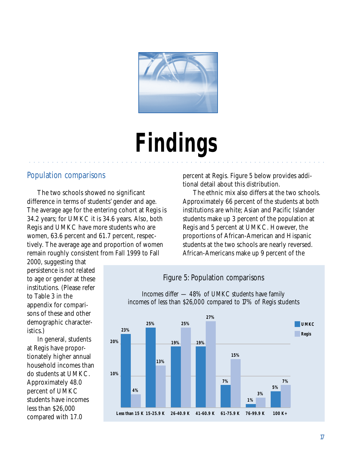

# **Findings**

aaaaaaaaaaaaaaaaaaaaaaaaaaaaaaaaaa aaaaaaaaaaaaaaaaaaaaaaaaaaaaaaa

### Population comparisons

The two schools showed no significant difference in terms of students' gender and age. The average age for the entering cohort at Regis is 34.2 years; for UMKC it is 34.6 years. Also, both Regis and UMKC have more students who are women, 63.6 percent and 61.7 percent, respectively. The average age and proportion of women remain roughly consistent from Fall 1999 to Fall

percent at Regis. Figure 5 below provides additional detail about this distribution.

The ethnic mix also differs at the two schools. Approximately 66 percent of the students at both institutions are white; Asian and Pacific Islander students make up 3 percent of the population at Regis and 5 percent at UMKC. However, the proportions of African-American and Hispanic students at the two schools are nearly reversed. African-Americans make up 9 percent of the

2000, suggesting that persistence is not related to age or gender at these institutions. (Please refer to Table 3 in the appendix for comparisons of these and other demographic characteristics.)

In general, students at Regis have proportionately higher annual household incomes than do students at UMKC. Approximately 48.0 percent of UMKC students have incomes less than \$26,000 compared with 17.0



### Figure 5: Population comparisons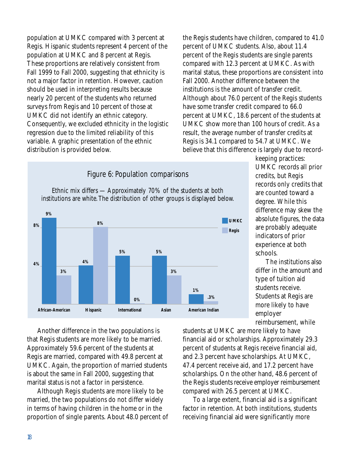population at UMKC compared with 3 percent at Regis. Hispanic students represent 4 percent of the population at UMKC and 8 percent at Regis. These proportions are relatively consistent from Fall 1999 to Fall 2000, suggesting that ethnicity is not a major factor in retention. However, caution should be used in interpreting results because nearly 20 percent of the students who returned surveys from Regis and 10 percent of those at UMKC did not identify an ethnic category. Consequently, we excluded ethnicity in the logistic regression due to the limited reliability of this variable. A graphic presentation of the ethnic distribution is provided below.

the Regis students have children, compared to 41.0 percent of UMKC students. Also, about 11.4 percent of the Regis students are single parents compared with 12.3 percent at UMKC. As with marital status, these proportions are consistent into Fall 2000. Another difference between the institutions is the amount of transfer credit. Although about 76.0 percent of the Regis students have some transfer credit compared to 66.0 percent at UMKC, 18.6 percent of the students at UMKC show more than 100 hours of credit. As a result, the average number of transfer credits at Regis is 34.1 compared to 54.7 at UMKC. We believe that this difference is largely due to record-

#### Ethnic mix differs — Approximately 70% of the students at both institutions are white. The distribution of other groups is displayed below. **4% 8% 9% African-American 3% 4% Hispanic 8% 5% International 0% 5% Asian 3% 1% American Indian .3% UMKC Regis**

#### Figure 6: Population comparisons

keeping practices: UMKC records all prior credits, but Regis records only credits that are counted toward a degree. While this difference may skew the absolute figures, the data are probably adequate indicators of prior experience at both schools.

The institutions also differ in the amount and type of tuition aid students receive. Students at Regis are more likely to have employer reimbursement, while

Another difference in the two populations is that Regis students are more likely to be married. Approximately 59.6 percent of the students at Regis are married, compared with 49.8 percent at UMKC. Again, the proportion of married students is about the same in Fall 2000, suggesting that marital status is not a factor in persistence.

Although Regis students are more likely to be married, the two populations do not differ widely in terms of having children in the home or in the proportion of single parents. About 48.0 percent of students at UMKC are more likely to have financial aid or scholarships. Approximately 29.3 percent of students at Regis receive financial aid, and 2.3 percent have scholarships. At UMKC, 47.4 percent receive aid, and 17.2 percent have scholarships. On the other hand, 48.6 percent of the Regis students receive employer reimbursement compared with 26.5 percent at UMKC.

To a large extent, financial aid is a significant factor in retention. At both institutions, students receiving financial aid were significantly more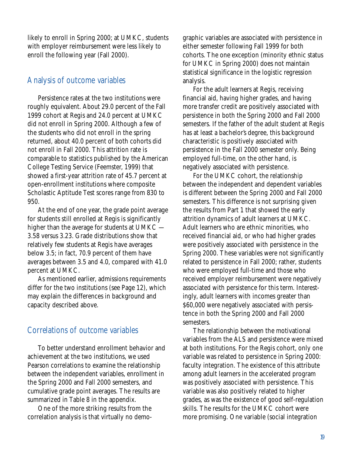likely to enroll in Spring 2000; at UMKC, students with employer reimbursement were less likely to enroll the following year (Fall 2000).

### Analysis of outcome variables

Persistence rates at the two institutions were roughly equivalent. About 29.0 percent of the Fall 1999 cohort at Regis and 24.0 percent at UMKC did not enroll in Spring 2000. Although a few of the students who did not enroll in the spring returned, about 40.0 percent of both cohorts did not enroll in Fall 2000. This attrition rate is comparable to statistics published by the American College Testing Service (Feemster, 1999) that showed a first-year attrition rate of 45.7 percent at open-enrollment institutions where composite Scholastic Aptitude Test scores range from 830 to 950.

At the end of one year, the grade point average for students still enrolled at Regis is significantly higher than the average for students at UMKC — 3.58 versus 3.23. Grade distributions show that relatively few students at Regis have averages below 3.5; in fact, 70.9 percent of them have averages between 3.5 and 4.0, compared with 41.0 percent at UMKC.

As mentioned earlier, admissions requirements differ for the two institutions (see Page 12), which may explain the differences in background and capacity described above.

### Correlations of outcome variables

To better understand enrollment behavior and achievement at the two institutions, we used Pearson correlations to examine the relationship between the independent variables, enrollment in the Spring 2000 and Fall 2000 semesters, and cumulative grade point averages. The results are summarized in Table 8 in the appendix.

One of the more striking results from the correlation analysis is that virtually no demographic variables are associated with persistence in either semester following Fall 1999 for both cohorts. The one exception (minority ethnic status for UMKC in Spring 2000) does not maintain statistical significance in the logistic regression analysis.

For the adult learners at Regis, receiving financial aid, having higher grades, and having more transfer credit are positively associated with persistence in both the Spring 2000 and Fall 2000 semesters. If the father of the adult student at Regis has at least a bachelor's degree, this background characteristic is positively associated with persistence in the Fall 2000 semester only. Being employed full-time, on the other hand, is negatively associated with persistence.

For the UMKC cohort, the relationship between the independent and dependent variables is different between the Spring 2000 and Fall 2000 semesters. This difference is not surprising given the results from Part 1 that showed the early attrition dynamics of adult learners at UMKC. Adult learners who are ethnic minorities, who received financial aid, or who had higher grades were positively associated with persistence in the Spring 2000. These variables were not significantly related to persistence in Fall 2000; rather, students who were employed full-time and those who received employer reimbursement were negatively associated with persistence for this term. Interestingly, adult learners with incomes greater than \$60,000 were negatively associated with persistence in both the Spring 2000 and Fall 2000 semesters.

The relationship between the motivational variables from the ALS and persistence were mixed at both institutions. For the Regis cohort, only one variable was related to persistence in Spring 2000: faculty integration. The existence of this attribute among adult learners in the accelerated program was positively associated with persistence. This variable was also positively related to higher grades, as was the existence of good self-regulation skills. The results for the UMKC cohort were more promising. One variable (social integration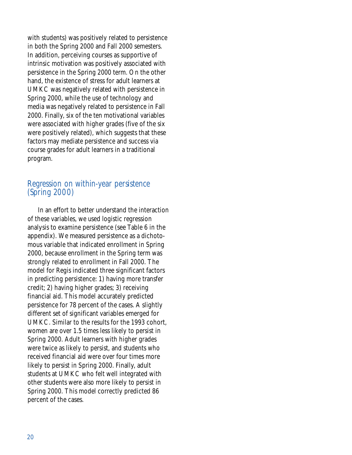with students) was positively related to persistence in both the Spring 2000 and Fall 2000 semesters. In addition, perceiving courses as supportive of intrinsic motivation was positively associated with persistence in the Spring 2000 term. On the other hand, the existence of stress for adult learners at UMKC was negatively related with persistence in Spring 2000, while the use of technology and media was negatively related to persistence in Fall 2000. Finally, six of the ten motivational variables were associated with higher grades (five of the six were positively related), which suggests that these factors may mediate persistence and success via course grades for adult learners in a traditional program.

### Regression on within-year persistence (Spring 2000)

In an effort to better understand the interaction of these variables, we used logistic regression analysis to examine persistence (see Table 6 in the appendix). We measured persistence as a dichotomous variable that indicated enrollment in Spring 2000, because enrollment in the Spring term was strongly related to enrollment in Fall 2000. The model for Regis indicated three significant factors in predicting persistence: 1) having more transfer credit; 2) having higher grades; 3) receiving financial aid. This model accurately predicted persistence for 78 percent of the cases. A slightly different set of significant variables emerged for UMKC. Similar to the results for the 1993 cohort, women are over 1.5 times less likely to persist in Spring 2000. Adult learners with higher grades were twice as likely to persist, and students who received financial aid were over four times more likely to persist in Spring 2000. Finally, adult students at UMKC who felt well integrated with other students were also more likely to persist in Spring 2000. This model correctly predicted 86 percent of the cases.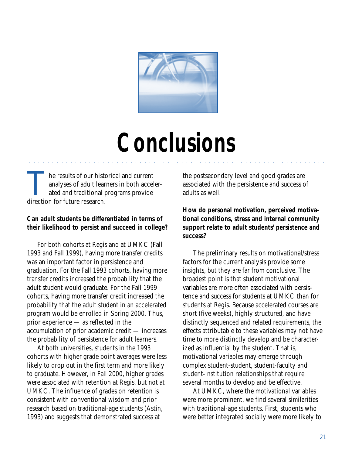

# **Conclusions**

aaaaaaaaaaaaaaaaaaaaaaaaaaaaaaaaaa aaaaaaaaaaaaaaaaaaaaaaaaaaaaaaa

The results of our historical and current<br>
analyses of adult learners in both acce<br>
ated and traditional programs provide<br>
direction for future research analyses of adult learners in both accelerdirection for future research.

### **Can adult students be differentiated in terms of their likelihood to persist and succeed in college?**

For both cohorts at Regis and at UMKC (Fall 1993 and Fall 1999), having more transfer credits was an important factor in persistence and graduation. For the Fall 1993 cohorts, having more transfer credits increased the probability that the adult student would graduate. For the Fall 1999 cohorts, having more transfer credit increased the probability that the adult student in an accelerated program would be enrolled in Spring 2000. Thus, prior experience — as reflected in the accumulation of prior academic credit — increases the probability of persistence for adult learners.

At both universities, students in the 1993 cohorts with higher grade point averages were less likely to drop out in the first term and more likely to graduate. However, in Fall 2000, higher grades were associated with retention at Regis, but not at UMKC. The influence of grades on retention is consistent with conventional wisdom and prior research based on traditional-age students (Astin, 1993) and suggests that demonstrated success at

the postsecondary level and good grades are associated with the persistence and success of adults as well.

**How do personal motivation, perceived motivational conditions, stress and internal community support relate to adult students' persistence and success?**

The preliminary results on motivational/stress factors for the current analysis provide some insights, but they are far from conclusive. The broadest point is that student motivational variables are more often associated with persistence and success for students at UMKC than for students at Regis. Because accelerated courses are short (five weeks), highly structured, and have distinctly sequenced and related requirements, the effects attributable to these variables may not have time to more distinctly develop and be characterized as influential by the student. That is, motivational variables may emerge through complex student-student, student-faculty and student-institution relationships that require several months to develop and be effective.

At UMKC, where the motivational variables were more prominent, we find several similarities with traditional-age students. First, students who were better integrated socially were more likely to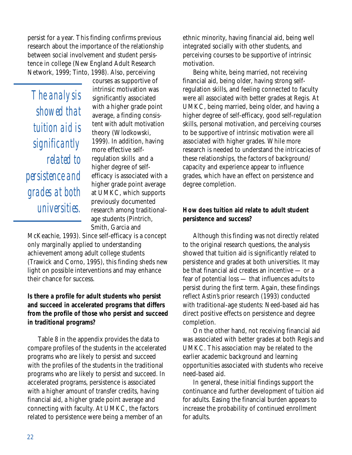persist for a year. This finding confirms previous research about the importance of the relationship between social involvement and student persistence in college (New England Adult Research Network, 1999; Tinto, 1998). Also, perceiving

*The analysis showed that tuition aid is significantly related to persistence and grades at both universities.*

courses as supportive of intrinsic motivation was significantly associated with a higher grade point average, a finding consistent with adult motivation theory (Wlodkowski, 1999). In addition, having more effective selfregulation skills and a higher degree of selfefficacy is associated with a higher grade point average at UMKC, which supports previously documented research among traditionalage students (Pintrich, Smith, Garcia and

McKeachie, 1993). Since self-efficacy is a concept only marginally applied to understanding achievement among adult college students (Trawick and Corno, 1995), this finding sheds new light on possible interventions and may enhance their chance for success.

### **Is there a profile for adult students who persist and succeed in accelerated programs that differs from the profile of those who persist and succeed in traditional programs?**

Table 8 in the appendix provides the data to compare profiles of the students in the accelerated programs who are likely to persist and succeed with the profiles of the students in the traditional programs who are likely to persist and succeed. In accelerated programs, persistence is associated with a higher amount of transfer credits, having financial aid, a higher grade point average and connecting with faculty. At UMKC, the factors related to persistence were being a member of an

ethnic minority, having financial aid, being well integrated socially with other students, and perceiving courses to be supportive of intrinsic motivation.

Being white, being married, not receiving financial aid, being older, having strong selfregulation skills, and feeling connected to faculty were all associated with better grades at Regis. At UMKC, being married, being older, and having a higher degree of self-efficacy, good self-regulation skills, personal motivation, and perceiving courses to be supportive of intrinsic motivation were all associated with higher grades. While more research is needed to understand the intricacies of these relationships, the factors of background/ capacity and experience appear to influence grades, which have an effect on persistence and degree completion.

### **How does tuition aid relate to adult student persistence and success?**

Although this finding was not directly related to the original research questions, the analysis showed that tuition aid is significantly related to persistence and grades at both universities. It may be that financial aid creates an incentive — or a fear of potential loss — that influences adults to persist during the first term. Again, these findings reflect Astin's prior research (1993) conducted with traditional-age students: Need-based aid has direct positive effects on persistence and degree completion.

On the other hand, not receiving financial aid was associated with better grades at both Regis and UMKC. This association may be related to the earlier academic background and learning opportunities associated with students who receive need-based aid.

In general, these initial findings support the continuance and further development of tuition aid for adults. Easing the financial burden appears to increase the probability of continued enrollment for adults.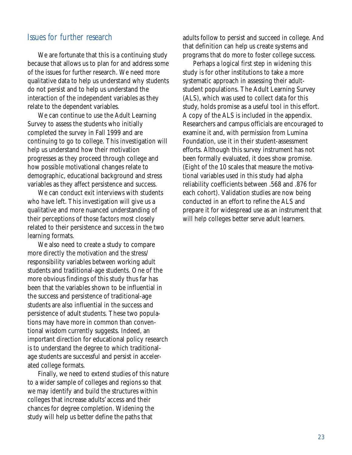### Issues for further research

We are fortunate that this is a continuing study because that allows us to plan for and address some of the issues for further research. We need more qualitative data to help us understand why students do not persist and to help us understand the interaction of the independent variables as they relate to the dependent variables.

We can continue to use the Adult Learning Survey to assess the students who initially completed the survey in Fall 1999 and are continuing to go to college. This investigation will help us understand how their motivation progresses as they proceed through college and how possible motivational changes relate to demographic, educational background and stress variables as they affect persistence and success.

We can conduct exit interviews with students who have left. This investigation will give us a qualitative and more nuanced understanding of their perceptions of those factors most closely related to their persistence and success in the two learning formats.

We also need to create a study to compare more directly the motivation and the stress/ responsibility variables between working adult students and traditional-age students. One of the more obvious findings of this study thus far has been that the variables shown to be influential in the success and persistence of traditional-age students are also influential in the success and persistence of adult students. These two populations may have more in common than conventional wisdom currently suggests. Indeed, an important direction for educational policy research is to understand the degree to which traditionalage students are successful and persist in accelerated college formats.

Finally, we need to extend studies of this nature to a wider sample of colleges and regions so that we may identify and build the structures within colleges that increase adults' access and their chances for degree completion. Widening the study will help us better define the paths that

adults follow to persist and succeed in college. And that definition can help us create systems and programs that do more to foster college success.

Perhaps a logical first step in widening this study is for other institutions to take a more systematic approach in assessing their adultstudent populations. The Adult Learning Survey (ALS), which was used to collect data for this study, holds promise as a useful tool in this effort. A copy of the ALS is included in the appendix. Researchers and campus officials are encouraged to examine it and, with permission from Lumina Foundation, use it in their student-assessment efforts. Although this survey instrument has not been formally evaluated, it does show promise. (Eight of the 10 scales that measure the motivational variables used in this study had alpha reliability coefficients between .568 and .876 for each cohort). Validation studies are now being conducted in an effort to refine the ALS and prepare it for widespread use as an instrument that will help colleges better serve adult learners.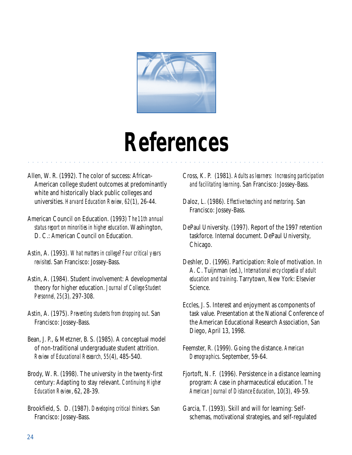

# **References**

aaaaaaaaaaaaaaaaaaaaaaaaaaaaaaaaaaa aaaaaaaaaaaaaaaaaaaaaaaaaaaaaa

- Allen, W. R. (1992). The color of success: African-American college student outcomes at predominantly white and historically black public colleges and universities. *Harvard Education Review, 62*(1), 26-44.
- American Council on Education. (1993) *The 11th annual status report on minorities in higher education*. Washington, D. C.: American Council on Education.
- Astin, A. (1993). *What matters in college? Four critical years revisited*. San Francisco: Jossey-Bass.
- Astin, A. (1984). Student involvement: A developmental theory for higher education. *Journal of College Student Personnel, 25*(3)*,* 297-308.
- Astin, A. (1975). *Preventing students from dropping out*. San Francisco: Jossey-Bass.
- Bean, J. P., & Metzner, B. S. (1985). A conceptual model of non-traditional undergraduate student attrition. *Review of Educational Research, 55*(4), 485-540.
- Brody, W. R. (1998). The university in the twenty-first century: Adapting to stay relevant. *Continuing Higher Education Review*, 62, 28-39.
- Brookfield, S. D. (1987). *Developing critical thinkers*. San Francisco: Jossey-Bass.
- Cross, K. P. (1981). *Adults as learners: Increasing participation and facilitating learning*. San Francisco: Jossey-Bass.
- Daloz, L. (1986). *Effective teaching and mentoring*. San Francisco: Jossey-Bass.
- DePaul University. (1997). Report of the 1997 retention taskforce. Internal document. DePaul University, Chicago.
- Deshler, D. (1996). Participation: Role of motivation. In A. C. Tuijnman (ed.), *International encyclopedia of adult education and training*. Tarrytown, New York: Elsevier Science.
- Eccles, J. S. Interest and enjoyment as components of task value. Presentation at the National Conference of the American Educational Research Association, San Diego, April 13, 1998.
- Feemster, R. (1999). Going the distance. *American Demographics*. September, 59-64.
- Fjortoft, N. F. (1996). Persistence in a distance learning program: A case in pharmaceutical education. *The American Journal of Distance Education*, 10(3), 49-59.
- Garcia, T. (1993). Skill and will for learning: Selfschemas, motivational strategies, and self-regulated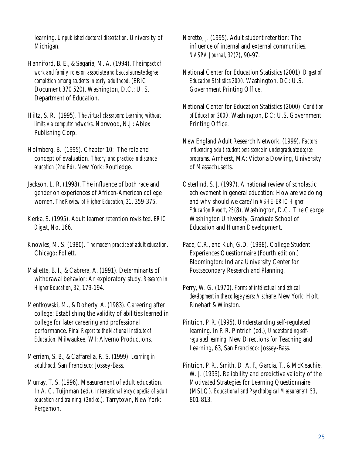learning. *Unpublished doctoral dissertation*. University of Michigan*.*

Hanniford, B. E., & Sagaria, M. A. (1994). *The impact of work and family roles on associate and baccalaureate degree completion among students in early adulthood*. (ERIC Document 370 520). Washington, D.C.: U. S. Department of Education.

Hiltz, S. R. (1995). *The virtual classroom: Learning without limits via computer networks*. Norwood, N.J.: Ablex Publishing Corp.

Holmberg, B. (1995). Chapter 10: The role and concept of evaluation. *Theory and practice in distance education (2nd Ed)*. New York: Routledge.

Jackson, L. R. (1998). The influence of both race and gender on experiences of African-American college women. *The Review of Higher Education, 21*, 359-375.

Kerka, S. (1995). Adult learner retention revisited. *ERIC Digest*, No. 166.

Knowles, M. S. (1980). *The modern practice of adult education*. Chicago: Follett.

Mallette, B. I., & Cabrera, A. (1991). Determinants of withdrawal behavior: An exploratory study. *Research in Higher Education, 32*, 179-194.

Mentkowski, M., & Doherty, A. (1983). Careering after college: Establishing the validity of abilities learned in college for later careering and professional performance. *Final Report to the National Institute of Education.* Milwaukee, WI: Alverno Productions.

Merriam, S. B., & Caffarella, R. S. (1999). *Learning in adulthood*. San Francisco: Jossey-Bass.

Murray, T. S. (1996). Measurement of adult education. In A. C. Tuijnman (ed.), *International encyclopedia of adult education and training. (2nd ed.)*. Tarrytown, New York: Pergamon.

Naretto, J. (1995). Adult student retention: The influence of internal and external communities. *NASPA Journal, 32*(2), 90-97.

- National Center for Education Statistics (2001). *Digest of Education Statistics 2000*. Washington, DC: U.S. Government Printing Office.
- National Center for Education Statistics (2000). *Condition of Education 2000*. Washington, DC: U.S. Government Printing Office.
- New England Adult Research Network. (1999). F*actors influencing adult student persistence in undergraduate degree programs*. Amherst, MA: Victoria Dowling, University of Massachusetts.

Osterlind, S. J. (1997). A national review of scholastic achievement in general education: How are we doing and why should we care? In *ASHE-ERIC Higher Education Report, 25*(8), Washington, D.C.: The George Washington University, Graduate School of Education and Human Development.

Pace, C.R., and Kuh, G.D. (1998). College Student Experiences Questionnaire (Fourth edition.) Bloomington: Indiana University Center for Postsecondary Research and Planning.

Perry, W. G. (1970). *Forms of intellectual and ethical development in the college years: A scheme*. New York: Holt, Rinehart & Winston.

Pintrich, P. R. (1995). Understanding self-regulated learning. In P. R. Pintrich (ed.), *Understanding selfregulated learning*. New Directions for Teaching and Learning, 63, San Francisco: Jossey-Bass.

Pintrich, P. R., Smith, D. A. F., Garcia, T., & McKeachie, W. J. (1993). Reliability and predictive validity of the Motivated Strategies for Learning Questionnaire (MSLQ). *Educational and Psychological Measurement, 53*, 801-813.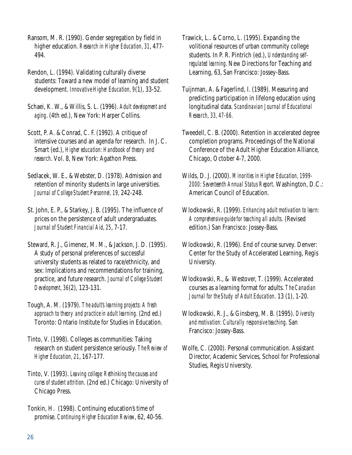Ransom, M. R. (1990). Gender segregation by field in higher education. *Research in Higher Education, 31*, 477- 494.

Rendon, L. (1994). Validating culturally diverse students: Toward a new model of learning and student development. *Innovative Higher Education, 9*(1), 33-52.

Schaei, K. W., & Willis, S. L. (1996). *Adult development and aging*. (4th ed.), New York: Harper Collins.

Scott, P. A. & Conrad, C. F. (1992). A critique of intensive courses and an agenda for research. In J. C. Smart (ed.), *Higher education: Handbook of theory and research*. Vol. 8, New York: Agathon Press.

Sedlacek, W. E., & Webster, D. (1978). Admission and retention of minority students in large universities. *Journal of College Student Personnel, 19,* 242-248.

St. John, E. P., & Starkey, J. B. (1995). The influence of prices on the persistence of adult undergraduates. *Journal of Student Financial Aid, 25*, 7-17.

Steward, R. J., Gimenez, M. M., & Jackson, J. D. (1995). A study of personal preferences of successful university students as related to race/ethnicity, and sex: Implications and recommendations for training, practice, and future research. *Journal of College Student Development, 36*(2), 123-131.

Tough, A. M. (1979). *The adult's learning projects: A fresh approach to theory and practice in adult learning.* (2nd ed.) Toronto: Ontario Institute for Studies in Education.

Tinto, V. (1998). Colleges as communities: Taking research on student persistence seriously. *The Review of Higher Education, 21*, 167-177.

Tinto, V. (1993). *Leaving college: Rethinking the causes and cures of student attrition*. (2nd ed.) Chicago: University of Chicago Press.

Tonkin, H. (1998). Continuing education's time of promise. *Continuing Higher Education Review*, 62, 40-56. Trawick, L.. & Corno, L. (1995). Expanding the volitional resources of urban community college students. In P. R. Pintrich (ed.), *Understanding selfregulated learning*. New Directions for Teaching and Learning, 63, San Francisco: Jossey-Bass.

Tuijnman, A. & Fagerlind, I. (1989). Measuring and predicting participation in lifelong education using longitudinal data. *Scandinavian Journal of Educational Research, 33, 47-66.*

Tweedell, C. B. (2000). Retention in accelerated degree completion programs. Proceedings of the National Conference of the Adult Higher Education Alliance, Chicago, October 4-7, 2000.

Wilds, D. J. (2000). *Minorities in Higher Education, 1999- 2000: Seventeenth Annual Status Report*. Washington, D.C.: American Council of Education.

Wlodkowski, R. (1999). *Enhancing adult motivation to learn: A comprehensive guide for teaching all adults*. (Revised edition.) San Francisco: Jossey-Bass.

Wlodkowski, R. (1996). End of course survey. Denver: Center for the Study of Accelerated Learning, Regis University*.*

Wlodkowski, R., & Westover, T. (1999). Accelerated courses as a learning format for adults. *The Canadian Journal for the Study of Adult Education*. 13 (1), 1-20.

Wlodkowski, R. J., & Ginsberg, M. B. (1995). *Diversity and motivation: Culturally responsive teaching*. San Francisco: Jossey-Bass.

Wolfe, C. (2000). Personal communication. Assistant Director, Academic Services, School for Professional Studies, Regis University.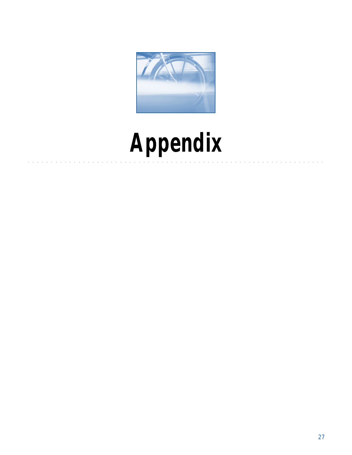

# **Appendix** aaaaaaaaaaaaaaaaaaaaaaaaaaaaaaaaaaa aaaaaaaaaaaaaaaaaaaaaaaaaaaaaa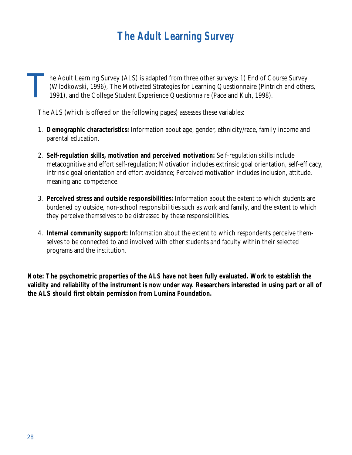# **The Adult Learning Survey**

The Adult Learning Survey (ALS) is adapted from three other surveys: 1) End of Course Survey (Wlodkowski, 1996), The Motivated Strategies for Learning Questionnaire (Pintrich and other 1991), and the College Student Experi (Wlodkowski, 1996), The Motivated Strategies for Learning Questionnaire (Pintrich and others,

The ALS (which is offered on the following pages) assesses these variables:

- 1. **Demographic characteristics:** Information about age, gender, ethnicity/race, family income and parental education.
- 2. **Self-regulation skills, motivation and perceived motivation:** Self-regulation skills include metacognitive and effort self-regulation; Motivation includes extrinsic goal orientation, self-efficacy, intrinsic goal orientation and effort avoidance; Perceived motivation includes inclusion, attitude, meaning and competence.
- 3. **Perceived stress and outside responsibilities:** Information about the extent to which students are burdened by outside, non-school responsibilities such as work and family, and the extent to which they perceive themselves to be distressed by these responsibilities.
- 4. **Internal community support:** Information about the extent to which respondents perceive themselves to be connected to and involved with other students and faculty within their selected programs and the institution.

**Note: The psychometric properties of the ALS have not been fully evaluated. Work to establish the validity and reliability of the instrument is now under way. Researchers interested in using part or all of the ALS should first obtain permission from Lumina Foundation.**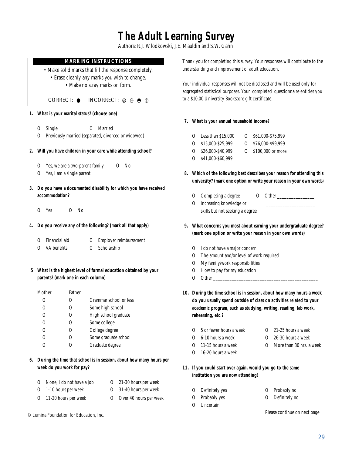## **The Adult Learning Survey**

Authors: R.J. Wlodkowski, J.E. Mauldin and S.W. Gahn

#### **MARKING INSTRUCTIONS**

- Make solid marks that fill the response completely. • Erase cleanly any marks you wish to change.
	- Make no stray marks on form.

CORRECT:  $\circ$  INCORRECT:  $\otimes \circ \circ \circ$ 

- **1. What is your marital status? (choose one)**
	- O Single O Married
	- O Previously married (separated, divorced or widowed)
- **2. Will you have children in your care while attending school?**
	- O Yes, we are a two-parent family O No
	- O Yes, I am a single parent
- **3. Do you have a documented disability for which you have received accommodation?**
	- O Yes O No
- **4. Do you receive any of the following? (mark all that apply)**

|  | O Financial aid |  | O Employer reimbursement |
|--|-----------------|--|--------------------------|
|--|-----------------|--|--------------------------|

- O VA benefits O Scholarship
- **5 What is the highest level of formal education obtained by your parents? (mark one in each column)**

| Mother              | Father |                        |
|---------------------|--------|------------------------|
|                     |        | Grammar school or less |
| 0                   | 0      | Some high school       |
| $\left( \right)$    |        | High school graduate   |
| $\scriptstyle\odot$ | 0      | Some college           |
| Ω                   | 0      | College degree         |
| Ω                   | ()     | Some graduate school   |
|                     |        | Graduate degree        |

**6. During the time that school is in session, about how many hours per week do you work for pay?**

| O None, I do not have a job | O 21-30 hours per week   |
|-----------------------------|--------------------------|
| O 1-10 hours per week       | O 31-40 hours per week   |
| O 11-20 hours per week      | O Over 40 hours per week |

© Lumina Foundation for Education, Inc.

Thank you for completing this survey. Your responses will contribute to the understanding and improvement of adult education.

Your individual responses will not be disclosed and will be used only for aggregated statistical purposes. Your completed questionnaire entitles you to a \$10.00 University Bookstore gift certificate.

#### **7. What is your annual household income?**

- O Less than \$15,000 O \$61,000-\$75,999
- O \$15,000-\$25,999 O \$76,000-\$99,999
- O \$26,000-\$40,999 O \$100,000 or more
- O \$41,000-\$60,999
- **8. Which of the following best describes your reason for attending this university? (mark one option or write your reason in your own word**s)
	- O Completing a degree O Other \_\_\_\_\_\_\_\_\_\_\_\_\_\_\_\_
	- O Increasing knowledge or skills but not seeking a degree
- **9. What concerns you most about earning your undergraduate degree? (mark one option or write your reason in your own words)**
	- O I do not have a major concern
	- O The amount and/or level of work required
	- O My family/work responsibilities
	- O How to pay for my education
	- O Other
- **10. During the time school is in session, about how many hours a week do you usually spend outside of class on activities related to your academic program, such as studying, writing, reading, lab work, rehearsing, etc.?**
	- O 5 or fewer hours a week O 21-25 hours a week
	- O 6-10 hours a week O 26-30 hours a week
	- O 11-15 hours a week O More than 30 hrs. a week
	- O 16-20 hours a week
- **11. If you could start over again, would you go to the same institution you are now attending?**
	- O Definitely yes O Probably no
	- O Probably yes O Definitely no
	- O Uncertain

Please continue on next page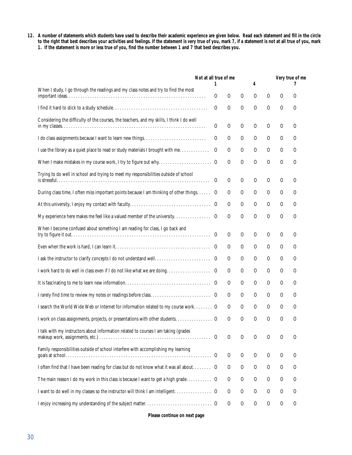**12. A number of statements which students have used to describe their academic experience are given below. Read each statement and fill in the circle to the right that best describes your activities and feelings. If the statement is very true of you, mark 7, if a statement is not at all true of you, mark 1. If the statement is more or less true of you, find the number between 1 and 7 that best describes you.**

|                                                                                           | Not at all true of me |          |          |               |               | Very true of me |               |  |
|-------------------------------------------------------------------------------------------|-----------------------|----------|----------|---------------|---------------|-----------------|---------------|--|
| When I study, I go through the readings and my class notes and try to find the most       | 1                     |          |          | 4             |               |                 |               |  |
|                                                                                           | $\circ$               | $\circ$  | $\circ$  | $\circ$       | $\circ$       | $\circ$         | О             |  |
|                                                                                           | $\circ$               | $\circ$  | $\Omega$ | $\mathcal{O}$ | $\circ$       | O               | $\circ$       |  |
| Considering the difficulty of the courses, the teachers, and my skills, I think I do well | $\circ$               | $\Omega$ | $\circ$  | $\mathcal{O}$ | $\circ$       | $\circ$         | O             |  |
| I do class assignments because I want to learn new things                                 | O                     | $\circ$  | $\circ$  | $\circ$       | $\circ$       | $\circ$         | $\circ$       |  |
| I use the library as a quiet place to read or study materials I brought with me           | O                     | $\circ$  | $\circ$  | $\mathcal{O}$ | $\circ$       | $\circ$         | $\circ$       |  |
|                                                                                           |                       | $\Omega$ | $\Omega$ | $\mathcal{O}$ | $\circ$       | $\circ$         | $\circ$       |  |
| Trying to do well in school and trying to meet my responsibilities outside of school      | O                     | O        | $\Omega$ | $\circ$       | $\circ$       | $\circ$         | O             |  |
| During class time, I often miss important points because I am thinking of other things. O |                       | O        | $\circ$  | $\circ$       | $\circ$       | $\circ$         | $\circ$       |  |
|                                                                                           |                       | O        | $\circ$  | $\circ$       | $\circ$       | $\circ$         | $\circ$       |  |
|                                                                                           |                       | O        | $\Omega$ | $\mathcal{O}$ | $\circ$       | $\Omega$        | O             |  |
| When I become confused about something I am reading for class, I go back and              | $\circ$               | $\circ$  | $\Omega$ | $\circ$       | $\circ$       | $\circ$         | $\circ$       |  |
|                                                                                           |                       | O        | O        | $\circ$       | $\circ$       | $\circ$         | $\circ$       |  |
|                                                                                           |                       | $\circ$  | $\circ$  | O             | $\circ$       | $\circ$         | $\circ$       |  |
|                                                                                           |                       | O        | $\circ$  | $\circ$       | $\circ$       | $\circ$         | O             |  |
|                                                                                           |                       | $\circ$  | $\circ$  | $\circ$       | $\circ$       | $\circ$         | $\circ$       |  |
|                                                                                           |                       | O        | O        | $\mathcal{O}$ | $\circ$       | $\circ$         | $\circ$       |  |
| I search the World Wide Web or Internet for information related to my course work O       |                       | $\circ$  | $\circ$  | $\mathcal O$  | $\circ$       | $\circ$         | $\circ$       |  |
|                                                                                           |                       | O        | $\Omega$ | $\circ$       | $\mathcal{O}$ | $\circ$         | $\Omega$      |  |
| I talk with my instructors about information related to courses I am taking (grades       | O                     | O        | О        | $\circ$       | О             | $\circ$         | $\circ$       |  |
| Family responsibilities outside of school interfere with accomplishing my learning        |                       | $\circ$  | $\circ$  | $\mathcal O$  | $\circ$       | $\circ$         | $\circ$       |  |
| I often find that I have been reading for class but do not know what it was all about O   |                       | $\circ$  | $\circ$  | $\mathcal O$  | $\mathcal{O}$ | $\bigcirc$      | $\circ$       |  |
| The main reason I do my work in this class is because I want to get a high grade O        |                       | $\circ$  | $\circ$  | $\mathcal O$  | $\mathcal{O}$ | $\bigcirc$      | $\mathcal{O}$ |  |
|                                                                                           |                       | O        | $\circ$  | $\mathcal{O}$ | $\mathcal{O}$ | $\circ$         | $\circ$       |  |
|                                                                                           |                       | $\circ$  | $\circ$  | $\mathcal{O}$ | $\mathcal{O}$ | $\bigcirc$      | $\bigcirc$    |  |

**Please continue on next page**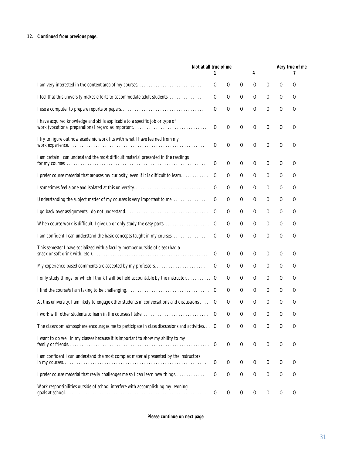#### **12. Continued from previous page.**

|                                                                                                                                     | Not at all true of me<br>1 |          |                | 4             |               |               | Very true of me |
|-------------------------------------------------------------------------------------------------------------------------------------|----------------------------|----------|----------------|---------------|---------------|---------------|-----------------|
|                                                                                                                                     | O                          | $\circ$  | $\circ$        | $\circ$       | O             | O             | O               |
| I feel that this university makes efforts to accommodate adult students.                                                            | O                          | O        | $\circ$        | $\circ$       | $\circ$       | O             | $\Omega$        |
|                                                                                                                                     | O                          | $\Omega$ | $\circ$        | $\circ$       | $\Omega$      | $\circ$       | O               |
| I have acquired knowledge and skills applicable to a specific job or type of<br>work (vocational preparation) I regard as important | $\circ$                    | $\Omega$ | $\mathcal{O}$  | $\circ$       | $\Omega$      | $\circ$       | O               |
| I try to figure out how academic work fits with what I have learned from my                                                         | O                          | $\Omega$ | $\Omega$       | $\circ$       | $\Omega$      | О             | O               |
| I am certain I can understand the most difficult material presented in the readings                                                 | $\circ$                    | $\circ$  | $\mathcal{O}$  | $\circ$       | $\circ$       | $\mathcal{O}$ | O               |
| I prefer course material that arouses my curiosity, even if it is difficult to learn                                                | O                          | О        | $\circ$        | $\circ$       | $\circ$       | $\circ$       | O               |
| I sometimes feel alone and isolated at this university                                                                              | O                          | $\circ$  | $\circ$        | $\circ$       | $\circ$       | $\circ$       | O               |
| Understanding the subject matter of my courses is very important to me                                                              | O                          | O        | $\circ$        | $\circ$       | $\circ$       | $\circ$       | O               |
|                                                                                                                                     | O                          | O        | O              | $\circ$       | $\circ$       | $\circ$       | O               |
| When course work is difficult, I give up or only study the easy parts                                                               | O                          | О        | $\circ$        | $\circ$       | $\circ$       | $\circ$       | O               |
| I am confident I can understand the basic concepts taught in my courses.                                                            | O                          | $\Omega$ | $\overline{O}$ | $\mathcal{O}$ | $\Omega$      | $\circ$       | $\Omega$        |
| This semester I have socialized with a faculty member outside of class (had a                                                       | O                          | O        | O              | $\circ$       | O             | O             | $\Omega$        |
| My experience-based comments are accepted by my professors                                                                          | O                          | O        | O              | $\Omega$      | O             | O             | $\Omega$        |
| I only study things for which I think I will be held accountable by the instructor. O                                               |                            | O        | O              | $\circ$       | $\mathcal{O}$ | $\Omega$      | O               |
|                                                                                                                                     |                            | O        | $\circ$        | $\circ$       | $\mathcal{O}$ | $\Omega$      | O               |
| At this university, I am likely to engage other students in conversations and discussions                                           | $\circ$                    | O        | $\circ$        | $\circ$       | $\circ$       | O             | O               |
| I work with other students to learn in the course/s I take                                                                          | O                          | O        | $\Omega$       | $\Omega$      | O             | O             | O               |
| The classroom atmosphere encourages me to participate in class discussions and activities. O                                        |                            | O        | О              | О             | Ο             | О             | O               |
| I want to do well in my classes because it is important to show my ability to my                                                    | $\circ$                    | $\circ$  | $\circ$        | $\circ$       | $\circ$       | $\circ$       | $\circ$         |
| I am confident I can understand the most complex material presented by the instructors                                              | $\circ$                    | $\circ$  | $\circ$        | $\circ$       | $\circ$       | $\circ$       | O               |
| I prefer course material that really challenges me so I can learn new things                                                        | $\circ$                    | O        | $\circ$        | $\bigcirc$    | $\circ$       | $\circ$       | $\circ$         |
| Work responsibilities outside of school interfere with accomplishing my learning                                                    | $\circ$                    | $\circ$  | $\circ$        | $\circ$       | $\circ$       | $\circ$       | $\circ$         |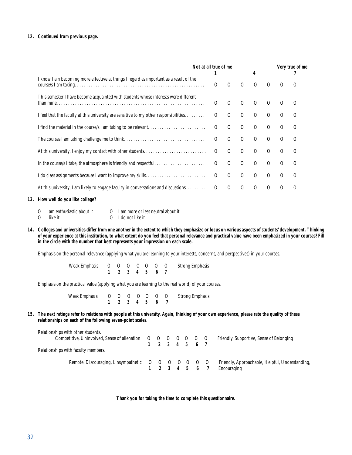#### **12. Continued from previous page.**

|                                                                                                      | Not at all true of me |          |          |          | 4        |          | Very true of me |          |  |
|------------------------------------------------------------------------------------------------------|-----------------------|----------|----------|----------|----------|----------|-----------------|----------|--|
| I know I am becoming more effective at things I regard as important as a result of the               |                       | O        | $\Omega$ | $\Omega$ | $\Omega$ | $\Omega$ | $\Omega$        | ∩        |  |
| This semester I have become acquainted with students whose interests were different                  |                       | $\Omega$ | $\Omega$ | $\Omega$ | $\Omega$ | $\Omega$ | $\Omega$        | $\Omega$ |  |
| I feel that the faculty at this university are sensitive to my other responsibilities. $\dots \dots$ |                       | $\Omega$ | $\Omega$ | $\Omega$ | $\Omega$ | $\Omega$ | $\Omega$        | $\Omega$ |  |
|                                                                                                      |                       | $\Omega$ | $\Omega$ | $\Omega$ | $\Omega$ | $\Omega$ | $\Omega$        |          |  |
| The courses I am taking challenge me to think                                                        |                       | $\Omega$ | $\Omega$ | $\Omega$ | $\Omega$ | $\Omega$ | $\Omega$        | $\Omega$ |  |
|                                                                                                      |                       | $\Omega$ | $\Omega$ | $\Omega$ | $\Omega$ | $\Omega$ | ∩               | $\Omega$ |  |
| In the course/s I take, the atmosphere is friendly and respectful                                    |                       | $\Omega$ | $\Omega$ | $\Omega$ | $\Omega$ | $\Omega$ | $\Omega$        | $\Omega$ |  |
|                                                                                                      |                       | $\Omega$ | $\Omega$ | $\Omega$ | $\Omega$ | $\Omega$ | $\Omega$        | $\Omega$ |  |
| At this university, I am likely to engage faculty in conversations and discussions.                  |                       | $\Omega$ | $\Omega$ | $\Omega$ | $\Omega$ | $\Omega$ | ∩               | $\Omega$ |  |

#### **13. How well do you like college?**

- O I am enthusiastic about it O I am more or less neutral about it O I like it
- O I do not like it
- **14. Colleges and universities differ from one another in the extent to which they emphasize or focus on various aspects of students' development. Thinking of your experience at this institution, to what extent do you feel that personal relevance and practical value have been emphasized in your courses? Fill in the circle with the number that best represents your impression on each scale.**

Emphasis on the personal relevance (applying what you are learning to your interests, concerns, and perspectives) in your courses.

Weak Emphasis O O O O O O O Strong Emphasis<br>
1 2 3 4 5 6 7  **1 2 3 4 5 6 7**

Emphasis on the practical value (applying what you are learning to the real world) of your courses.

 Weak Emphasis O O O O O O O Strong Emphasis  **1 2 3 4 5 6 7**

**15. The next ratings refer to relations with people at this university. Again, thinking of your own experience, please rate the quality of these relationships on each of the following seven-point scales.**

| Relationships with other students.                           |               |  |  |                                                 |
|--------------------------------------------------------------|---------------|--|--|-------------------------------------------------|
| Competitive, Uninvolved, Sense of alienation O O O O O O O O |               |  |  | Friendly, Supportive, Sense of Belonging        |
|                                                              | 1 2 3 4 5 6 7 |  |  |                                                 |
| Relationships with faculty members.                          |               |  |  |                                                 |
| Remote, Discouraging, Unsympathetic O O O O O O O O          |               |  |  | Friendly, Approachable, Helpful, Understanding, |
|                                                              |               |  |  | Encouraging                                     |

**Thank you for taking the time to complete this questionnaire.**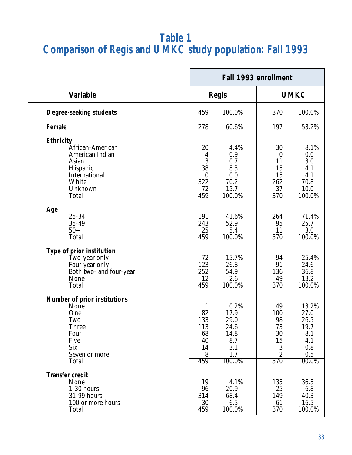### **Table 1 Comparison of Regis and UMKC study population: Fall 1993**

|                                 |                  | Fall 1993 enrollment |                  |                      |  |
|---------------------------------|------------------|----------------------|------------------|----------------------|--|
| <b>Variable</b>                 |                  | <b>Regis</b>         | <b>UMKC</b>      |                      |  |
| Degree-seeking students         | 459              | 100.0%               | 370              | 100.0%               |  |
| Female                          | 278              | 60.6%                | 197              | 53.2%                |  |
| Ethnicity                       |                  |                      |                  |                      |  |
| African-American                | 20               | 4.4%                 | 30               | 8.1%                 |  |
| American Indian                 | 4                | 0.9                  | $\bf{0}$         | 0.0                  |  |
| Asian                           | 3                | 0.7                  | 11               | 3.0                  |  |
| Hispanic                        | 38               | 8.3                  | 15               | 4.1                  |  |
| International                   | $\boldsymbol{0}$ | 0.0                  | 15               | 4.1                  |  |
| White                           | 322              | 70.2                 | 262              | 70.8                 |  |
| Unknown                         | 72               | 15.7                 | 37               | 10.0                 |  |
| Total                           | 459              | $100.0\%$            | 370              | $100.\overline{0\%}$ |  |
| Age                             |                  |                      |                  |                      |  |
| 25-34                           | 191              | 41.6%                | 264              | 71.4%                |  |
| 35-49                           | 243              | 52.9                 | 95               | 25.7                 |  |
| $50+$                           | 25               | 5.4                  | 11               | 3.0                  |  |
| Total                           | 459              | 100.0%               | 370              | 100.0%               |  |
| Type of prior institution       |                  |                      |                  |                      |  |
| Two-year only                   | 72               | 15.7%                | 94               | 25.4%                |  |
|                                 | 123              | 26.8                 | 91               | 24.6                 |  |
| Four-year only                  | 252              | 54.9                 | 136              | 36.8                 |  |
| Both two- and four-year<br>None | 12               | 2.6                  | 49               | 13.2                 |  |
|                                 | 459              | 100.0%               | $\overline{370}$ |                      |  |
| Total                           |                  |                      |                  | 100.0%               |  |
| Number of prior institutions    |                  |                      |                  |                      |  |
| None                            | $\mathbf{1}$     | 0.2%                 | 49               | 13.2%                |  |
| One                             | 82               | 17.9                 | 100              | 27.0                 |  |
| Two                             | 133              | 29.0                 | 98               | 26.5                 |  |
| <b>Three</b>                    | 113              | 24.6                 | 73               | 19.7                 |  |
| Four                            | 68               | 14.8                 | 30               | 8.1                  |  |
| Five                            | 40               | 8.7                  | 15               | 4.1                  |  |
| Six                             | 14               | 3.1                  | $\boldsymbol{3}$ | 0.8                  |  |
| Seven or more                   | 8                | 1.7                  | $\boldsymbol{2}$ | 0.5                  |  |
| Total                           | 459              | 100.0%               | 370              | 100.0%               |  |
| <b>Transfer credit</b>          |                  |                      |                  |                      |  |
| None                            | 19               | 4.1%                 | 135              | 36.5                 |  |
| 1-30 hours                      | 96               | 20.9                 | 25               | 6.8                  |  |
| 31-99 hours                     | 314              | 68.4                 | 149              | 40.3                 |  |
| 100 or more hours               | 30               | 6.5                  | 61               | 16.5                 |  |
| Total                           | 459              | 100.0%               | 370              | 100.0%               |  |
|                                 |                  |                      |                  |                      |  |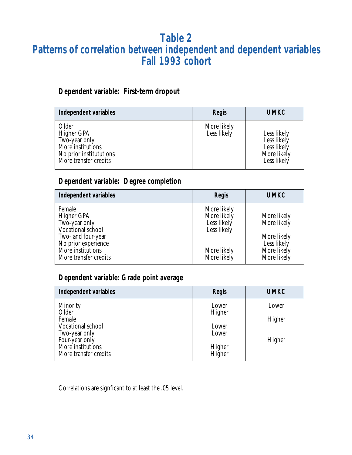### **Table 2 Patterns of correlation between independent and dependent variables Fall 1993 cohort**

### **Dependent variable: First-term dropout**

| Independent variables                                                                                         | Regis                      | <b>UMKC</b>                                                             |
|---------------------------------------------------------------------------------------------------------------|----------------------------|-------------------------------------------------------------------------|
| Older<br>Higher GPA<br>Two-year only<br>More institutions<br>No prior institututions<br>More transfer credits | More likely<br>Less likely | Less likely<br>Less likely<br>Less likely<br>More likely<br>Less likely |

### **Dependent variable: Degree completion**

| Independent variables                                                                                                                                 | Regis                                                                                  | <b>UMKC</b>                                                                            |
|-------------------------------------------------------------------------------------------------------------------------------------------------------|----------------------------------------------------------------------------------------|----------------------------------------------------------------------------------------|
| Female<br>Higher GPA<br>Two-year only<br>Vocational school<br>Two- and four-year<br>No prior experience<br>More institutions<br>More transfer credits | More likely<br>More likely<br>Less likely<br>Less likely<br>More likely<br>More likely | More likely<br>More likely<br>More likely<br>Less likely<br>More likely<br>More likely |

### **Dependent variable: Grade point average**

| Independent variables           | Regis  | <b>UMKC</b> |
|---------------------------------|--------|-------------|
| Minority                        | Lower  | Lower       |
| Older<br>Female                 | Higher | Higher      |
| Vocational school               | Lower  |             |
| Two-year only<br>Four-year only | Lower  | Higher      |
| More institutions               | Higher |             |
| More transfer credits           | Higher |             |

Correlations are signficant to at least the .05 level.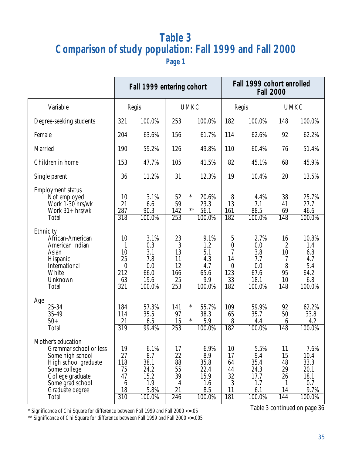## **Table 3 Comparison of study population: Fall 1999 and Fall 2000**

**Page 1**

|                                                                                                                                                                              | Fall 1999 entering cohort                                                           |                                                              |                                                            |                                                             |                                                                   | Fall 1999 cohort enrolled<br><b>Fall 2000</b>               |                                                           |                                                               |  |  |
|------------------------------------------------------------------------------------------------------------------------------------------------------------------------------|-------------------------------------------------------------------------------------|--------------------------------------------------------------|------------------------------------------------------------|-------------------------------------------------------------|-------------------------------------------------------------------|-------------------------------------------------------------|-----------------------------------------------------------|---------------------------------------------------------------|--|--|
| Variable                                                                                                                                                                     |                                                                                     | Regis                                                        |                                                            | <b>UMKC</b>                                                 |                                                                   | Regis                                                       | <b>UMKC</b>                                               |                                                               |  |  |
| Degree-seeking students                                                                                                                                                      | 321                                                                                 | 100.0%                                                       | 253                                                        | 100.0%                                                      | 182                                                               | 100.0%                                                      | 148                                                       | 100.0%                                                        |  |  |
| Female                                                                                                                                                                       | 204                                                                                 | 63.6%                                                        | 156                                                        | 61.7%                                                       | 114                                                               | 62.6%                                                       | 92                                                        | 62.2%                                                         |  |  |
| Married                                                                                                                                                                      | 190                                                                                 | 59.2%                                                        | 126                                                        | 49.8%                                                       | 110                                                               | 60.4%                                                       | 76                                                        | 51.4%                                                         |  |  |
| Children in home                                                                                                                                                             | 153                                                                                 | 47.7%                                                        | 105                                                        | 41.5%                                                       | 82                                                                | 45.1%                                                       | 68                                                        | 45.9%                                                         |  |  |
| Single parent                                                                                                                                                                | 36                                                                                  | 11.2%                                                        | 31                                                         | 12.3%                                                       | 19                                                                | 10.4%                                                       | 20                                                        | 13.5%                                                         |  |  |
| <b>Employment status</b><br>Not employed<br>Work 1-30 hrs/wk<br>Work $31 + hrs/wk$<br>Total<br>Ethnicity                                                                     | 10<br>21<br>287<br>318                                                              | 3.1%<br>6.6<br>90.3<br>100.0%                                | 52<br>59<br>142<br>$\overline{253}$                        | $\ast$<br>20.6%<br>23.3<br>$***$<br>56.1<br>100.0%          | 8<br>13<br>161<br>182                                             | 4.4%<br>7.1<br>88.5<br>100.0%                               | 38<br>41<br>69<br>148                                     | 25.7%<br>27.7<br>46.6<br>100.0%                               |  |  |
| African-American<br>American Indian<br>Asian<br>Hispanic<br>International<br>White<br>Unknown<br>Total                                                                       | 10<br>$\mathbf{1}$<br>10<br>25<br>$\boldsymbol{0}$<br>212<br>63<br>$\overline{321}$ | 3.1%<br>0.3<br>3.1<br>7.8<br>0.0<br>66.0<br>19.6<br>100.0%   | 23<br>3<br>13<br>11<br>12<br>166<br>25<br>$\overline{253}$ | 9.1%<br>1.2<br>5.1<br>4.3<br>4.7<br>65.6<br>9.9<br>100.0%   | 5<br>$\pmb{0}$<br>7<br>14<br>$\boldsymbol{0}$<br>123<br>33<br>182 | 2.7%<br>0.0<br>3.8<br>7.7<br>0.0<br>67.6<br>18.1<br>100.0%  | 16<br>$\boldsymbol{2}$<br>10<br>7<br>8<br>95<br>10<br>148 | 10.8%<br>1.4<br>6.8<br>4.7<br>5.4<br>64.2<br>6.8<br>100.0%    |  |  |
| Age<br>25-34<br>35-49<br>$50+$<br>Total                                                                                                                                      | 184<br>114<br>21<br>$\overline{319}$                                                | 57.3%<br>35.5<br>6.5<br>99.4%                                | 141<br>97<br>15<br>253                                     | $\ast$<br>55.7%<br>38.3<br>$\ast$<br>5.9<br>100.0%          | 109<br>65<br>8<br>182                                             | 59.9%<br>35.7<br>4.4<br>100.0%                              | 92<br>50<br>6<br>148                                      | 62.2%<br>33.8<br>4.2<br>100.0%                                |  |  |
| Mother's education<br>Grammar school or less<br>Some high school<br>High school graduate<br>Some college<br>College graduate<br>Some grad school<br>Graduate degree<br>Total | 19<br>27<br>118<br>75<br>47<br>$6\phantom{.}6$<br>18<br>310                         | 6.1%<br>8.7<br>38.1<br>24.2<br>15.2<br>1.9<br>5.8%<br>100.0% | 17<br>22<br>88<br>55<br>39<br>4<br>21<br>246               | 6.9%<br>8.9<br>35.8<br>22.4<br>15.9<br>1.6<br>8.5<br>100.0% | 10<br>17<br>64<br>44<br>32<br>3<br>11<br>181                      | 5.5%<br>9.4<br>35.4<br>24.3<br>17.7<br>1.7<br>6.1<br>100.0% | 11<br>15<br>48<br>29<br>26<br>1<br>14<br>144              | 7.6%<br>10.4<br>33.3<br>20.1<br>18.1<br>0.7<br>9.7%<br>100.0% |  |  |

\* Significance of Chi Square for difference between Fall 1999 and Fall 2000 <=.05

Table 3 continued on page 36

\*\* Significance of Chi Square for difference between Fall 1999 and Fall 2000 <=.005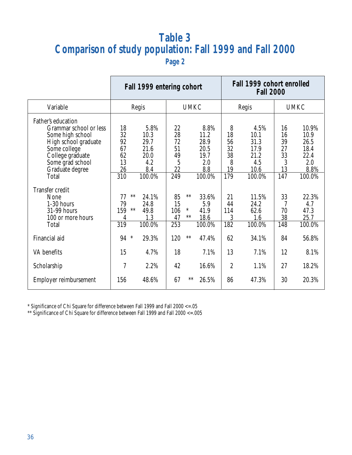## **Table 3 Comparison of study population: Fall 1999 and Fall 2000**

**Page 2**

|                                                                                                                                                                              | Fall 1999 entering cohort                                 |                                                              |                                                               |                        |                                                              | Fall 1999 cohort enrolled<br><b>Fall 2000</b> |                                                               |                                              |                                                                |  |
|------------------------------------------------------------------------------------------------------------------------------------------------------------------------------|-----------------------------------------------------------|--------------------------------------------------------------|---------------------------------------------------------------|------------------------|--------------------------------------------------------------|-----------------------------------------------|---------------------------------------------------------------|----------------------------------------------|----------------------------------------------------------------|--|
| Variable                                                                                                                                                                     | Regis                                                     |                                                              |                                                               | <b>UMKC</b>            |                                                              | Regis                                         |                                                               | <b>UMKC</b>                                  |                                                                |  |
| Father's education<br>Grammar school or less<br>Some high school<br>High school graduate<br>Some college<br>College graduate<br>Some grad school<br>Graduate degree<br>Total | 18<br>32<br>92<br>67<br>62<br>13<br>26<br>310             | 5.8%<br>10.3<br>29.7<br>21.6<br>20.0<br>4.2<br>8.4<br>100.0% | 22<br>28<br>$72\,$<br>51<br>49<br>$\overline{5}$<br>22<br>249 |                        | 8.8%<br>11.2<br>28.9<br>20.5<br>19.7<br>2.0<br>8.8<br>100.0% | 8<br>18<br>56<br>32<br>38<br>8<br>19<br>179   | 4.5%<br>10.1<br>31.3<br>17.9<br>21.2<br>4.5<br>10.6<br>100.0% | 16<br>16<br>39<br>27<br>33<br>3<br>13<br>147 | 10.9%<br>10.9<br>26.5<br>18.4<br>22.4<br>2.0<br>8.8%<br>100.0% |  |
| Transfer credit<br>None<br>1-30 hours<br>31-99 hours<br>100 or more hours<br>Total                                                                                           | $***$<br>77<br>79<br>159<br>$**$<br>4<br>$\overline{319}$ | 24.1%<br>24.8<br>49.8<br>1.3<br>$100.0\%$                    | 85<br>15<br>106<br>47<br>253                                  | $**$<br>$\ast$<br>$**$ | 33.6%<br>5.9<br>41.9<br>18.6<br>100.0%                       | 21<br>44<br>114<br>3<br>182                   | 11.5%<br>24.2<br>62.6<br>1.6<br>100.0%                        | 33<br>7<br>70<br>38<br>148                   | 22.3%<br>4.7<br>47.3<br>25.7<br>100.0%                         |  |
| Financial aid                                                                                                                                                                | $\ast$<br>94                                              | 29.3%                                                        | 120                                                           | $**$                   | 47.4%                                                        | 62                                            | 34.1%                                                         | 84                                           | 56.8%                                                          |  |
| VA benefits                                                                                                                                                                  | 15                                                        | 4.7%                                                         | 18                                                            |                        | 7.1%                                                         | 13                                            | 7.1%                                                          | 12                                           | 8.1%                                                           |  |
| Scholarship                                                                                                                                                                  | 7                                                         | 2.2%                                                         | 42                                                            |                        | 16.6%                                                        | $\overline{2}$                                | 1.1%                                                          | 27                                           | 18.2%                                                          |  |
| Employer reimbursement                                                                                                                                                       | 156                                                       | 48.6%                                                        | 67                                                            | $***$                  | 26.5%                                                        | 86                                            | 47.3%                                                         | 30                                           | 20.3%                                                          |  |

\* Significance of Chi Square for difference between Fall 1999 and Fall 2000 <=.05

\*\* Significance of Chi Square for difference between Fall 1999 and Fall 2000 <=.005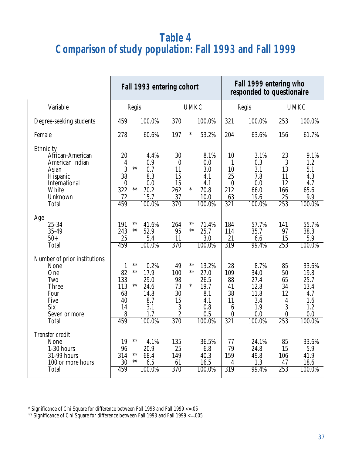## **Table 4 Comparison of study population: Fall 1993 and Fall 1999**

|                                                                                                                                                                                           |                                                                                                                                                                                                                       | Fall 1993 entering cohort                                                                                   |                                                                                                                                | Fall 1999 entering who<br>responded to questionaire                                                            |                                                                                                     |                                                                                                       |                                                                                                     |  |
|-------------------------------------------------------------------------------------------------------------------------------------------------------------------------------------------|-----------------------------------------------------------------------------------------------------------------------------------------------------------------------------------------------------------------------|-------------------------------------------------------------------------------------------------------------|--------------------------------------------------------------------------------------------------------------------------------|----------------------------------------------------------------------------------------------------------------|-----------------------------------------------------------------------------------------------------|-------------------------------------------------------------------------------------------------------|-----------------------------------------------------------------------------------------------------|--|
| Variable                                                                                                                                                                                  | Regis                                                                                                                                                                                                                 |                                                                                                             | <b>UMKC</b>                                                                                                                    |                                                                                                                | Regis                                                                                               | <b>UMKC</b>                                                                                           |                                                                                                     |  |
| Degree-seeking students                                                                                                                                                                   | 100.0%<br>459                                                                                                                                                                                                         | 370                                                                                                         | 100.0%                                                                                                                         | 321                                                                                                            | 100.0%                                                                                              | 253                                                                                                   | 100.0%                                                                                              |  |
| Female                                                                                                                                                                                    | 278<br>60.6%                                                                                                                                                                                                          | 197                                                                                                         | $\ast$<br>53.2%                                                                                                                | 204                                                                                                            | 63.6%                                                                                               | 156                                                                                                   | 61.7%                                                                                               |  |
| Ethnicity<br>African-American<br>American Indian<br>Asian<br>Hispanic<br>International<br>White<br>Unknown<br>Total<br>Age<br>25-34<br>35-49<br>$50+$<br>Total                            | 20<br>4<br>0.9<br>$***$<br>3<br>0.7<br>38<br>8.3<br>0.0<br>$\boldsymbol{0}$<br>322<br>$**$<br>70.2<br>72<br>15.7<br>459<br>100.0%<br>**<br>41.6%<br>191<br>$***$<br>52.9<br>243<br>25<br>5.4<br>459<br>100.0%         | 4.4%<br>30<br>$\boldsymbol{0}$<br>11<br>15<br>15<br>262<br>37<br>$\overline{370}$<br>264<br>95<br>11<br>370 | 8.1%<br>0.0<br>3.0<br>4.1<br>4.1<br>$\ast$<br>70.8<br>10.0<br>100.0%<br>$**$<br>71.4%<br>$***$<br>25.7<br>3.0<br>100.0%        | 10<br>$\mathbf{1}$<br>10<br>25<br>$\boldsymbol{0}$<br>212<br>63<br>$\overline{321}$<br>184<br>114<br>21<br>319 | 3.1%<br>0.3<br>3.1<br>7.8<br>0.0<br>66.0<br>19.6<br>100.0%<br>57.7%<br>35.7<br>6.6<br>99.4%         | 23<br>3<br>13<br>11<br>12<br>166<br>25<br>$\overline{253}$<br>141<br>97<br>15<br>253                  | 9.1%<br>1.2<br>5.1<br>4.3<br>4.7<br>65.6<br>9.9<br>100.0%<br>55.7%<br>38.3<br>5.9<br>100.0%         |  |
| Number of prior institutions<br>None<br>One<br>Two<br>Three<br>Four<br>Five<br>Six<br>Seven or more<br>Total<br>Transfer credit<br>None<br>1-30 hours<br>31-99 hours<br>100 or more hours | $**$<br>1<br>82<br>$**$<br>17.9<br>133<br>29.0<br>$***$<br>113<br>24.6<br>68<br>14.8<br>40<br>8.7<br>3.1<br>14<br>8<br>1.7<br>100.0%<br>459<br>$**$<br>19<br>96<br>20.9<br>$***$<br>314<br>68.4<br>$***$<br>30<br>6.5 | 0.2%<br>49<br>100<br>98<br>73<br>30<br>15<br>3<br>$\boldsymbol{2}$<br>370<br>4.1%<br>135<br>25<br>149<br>61 | $**$<br>13.2%<br>$***$<br>27.0<br>26.5<br>$\ast$<br>19.7<br>8.1<br>4.1<br>0.8<br>0.5<br>100.0%<br>36.5%<br>6.8<br>40.3<br>16.5 | 28<br>109<br>88<br>41<br>38<br>11<br>6<br>$\boldsymbol{0}$<br>$\overline{321}$<br>77<br>79<br>159<br>4         | 8.7%<br>34.0<br>27.4<br>12.8<br>11.8<br>3.4<br>1.9<br>0.0<br>100.0%<br>24.1%<br>24.8<br>49.8<br>1.3 | 85<br>50<br>65<br>34<br>12<br>4<br>3<br>$\boldsymbol{0}$<br>$\overline{253}$<br>85<br>15<br>106<br>47 | 33.6%<br>19.8<br>25.7<br>13.4<br>4.7<br>1.6<br>1.2<br>0.0<br>100.0%<br>33.6%<br>5.9<br>41.9<br>18.6 |  |

\* Significance of Chi Square for difference between Fall 1993 and Fall 1999 <=.05

\*\* Significance of Chi Square for difference between Fall 1993 and Fall 1999 <=.005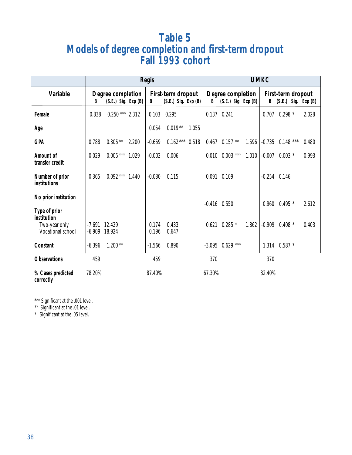## **Table 5 Models of degree completion and first-term dropout Fall 1993 cohort**

|                                                      | <b>Regis</b>                       |                                              |       |                |                                               | <b>UMKC</b> |                  |                                              |       |                  |                                             |       |
|------------------------------------------------------|------------------------------------|----------------------------------------------|-------|----------------|-----------------------------------------------|-------------|------------------|----------------------------------------------|-------|------------------|---------------------------------------------|-------|
| <b>Variable</b>                                      | B                                  | Degree completion<br>$(S.E.)$ Sig. Exp $(B)$ |       | B              | First-term dropout<br>$(S.E.)$ Sig. Exp $(B)$ |             | B                | Degree completion<br>$(S.E.)$ Sig. Exp $(B)$ |       |                  | First-term dropout<br>B (S.E.) Sig. Exp (B) |       |
| Female                                               | 0.838                              | $0.250***$ 2.312                             |       | 0.103          | 0.295                                         |             |                  | 0.137 0.241                                  |       | 0.707            | $0.298*$                                    | 2.028 |
| Age                                                  |                                    |                                              |       | 0.054          | $0.019**$                                     | 1.055       |                  |                                              |       |                  |                                             |       |
| <b>GPA</b>                                           | 0.788                              | $0.305**$                                    | 2.200 | $-0.659$       | $0.162***$ 0.518                              |             |                  | $0.467$ $0.157$ **                           | 1.596 | $-0.735$         | $0.148$ ***                                 | 0.480 |
| Amount of<br>transfer credit                         | 0.029                              | $0.005***$ 1.029                             |       | $-0.002$       | 0.006                                         |             | 0.010            | $0.003$ ***                                  | 1.010 | $-0.007$         | $0.003*$                                    | 0.993 |
| Number of prior<br>institutions                      | 0.365                              | $0.092***$ 1.440                             |       | $-0.030$       | 0.115                                         |             |                  | 0.091 0.109                                  |       | $-0.254$ $0.146$ |                                             |       |
| No prior institution<br>Type of prior<br>institution |                                    |                                              |       |                |                                               |             | $-0.416$ $0.550$ |                                              |       | 0.960            | $0.495*$                                    | 2.612 |
| Two-year only<br>Vocational school                   | $-7.691$ 12.429<br>$-6.909$ 18.924 |                                              |       | 0.174<br>0.196 | 0.433<br>0.647                                |             |                  | $0.621$ $0.285$ *                            | 1.862 | $-0.909$         | $0.408*$                                    | 0.403 |
| Constant                                             | $-6.396$                           | $1.200**$                                    |       | $-1.566$       | 0.890                                         |             |                  | $-3.095$ 0.629 ***                           |       |                  | 1.314 0.587 *                               |       |
| <b>Observations</b>                                  | 459                                |                                              |       | 459            |                                               |             | 370              |                                              |       | 370              |                                             |       |
| % Cases predicted<br>correctly                       | 78.20%                             |                                              |       | 87.40%         |                                               |             | 67.30%           |                                              |       | 82.40%           |                                             |       |

\*\*\* Significant at the .001 level.

\*\* Significant at the .01 level.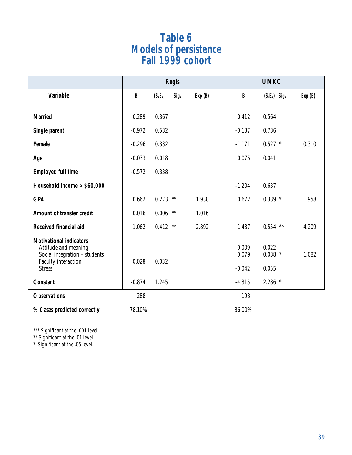## **Table 6 Models of persistence Fall 1999 cohort**

|                                                                                                                                 |              |        | <b>Regis</b> |        | <b>UMKC</b>                |                             |        |  |
|---------------------------------------------------------------------------------------------------------------------------------|--------------|--------|--------------|--------|----------------------------|-----------------------------|--------|--|
| Variable                                                                                                                        | $\, {\bf B}$ | (S.E.) | Sig.         | Exp(B) | $\, {\bf B}$               | $(S.E.)$ Sig.               | Exp(B) |  |
| <b>Married</b>                                                                                                                  | 0.289        | 0.367  |              |        | 0.412                      | 0.564                       |        |  |
| Single parent                                                                                                                   | $-0.972$     | 0.532  |              |        | $-0.137$                   | 0.736                       |        |  |
| Female                                                                                                                          | $-0.296$     | 0.332  |              |        | $-1.171$                   | $0.527$ *                   | 0.310  |  |
| Age                                                                                                                             | $-0.033$     | 0.018  |              |        | 0.075                      | 0.041                       |        |  |
| <b>Employed full time</b>                                                                                                       | $-0.572$     | 0.338  |              |        |                            |                             |        |  |
| Household income > \$60,000                                                                                                     |              |        |              |        | $-1.204$                   | 0.637                       |        |  |
| <b>GPA</b>                                                                                                                      | 0.662        | 0.273  | $**$         | 1.938  | 0.672                      | $0.339$ *                   | 1.958  |  |
| Amount of transfer credit                                                                                                       | 0.016        | 0.006  | $**$         | 1.016  |                            |                             |        |  |
| Received financial aid                                                                                                          | 1.062        | 0.412  | $**$         | 2.892  | 1.437                      | $0.554$ **                  | 4.209  |  |
| <b>Motivational indicators</b><br>Attitude and meaning<br>Social integration - students<br>Faculty interaction<br><b>Stress</b> | 0.028        | 0.032  |              |        | 0.009<br>0.079<br>$-0.042$ | 0.022<br>$0.038$ *<br>0.055 | 1.082  |  |
| Constant                                                                                                                        | $-0.874$     | 1.245  |              |        | $-4.815$                   | $2.286$ *                   |        |  |
| <b>Observations</b>                                                                                                             | 288          |        |              |        | 193                        |                             |        |  |
| % Cases predicted correctly                                                                                                     | 78.10%       |        |              |        | 86.00%                     |                             |        |  |

\*\*\* Significant at the .001 level.

\*\* Significant at the .01 level.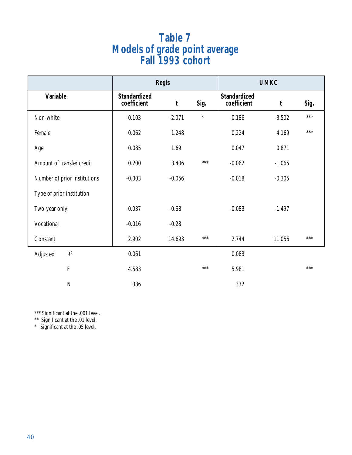## **Table 7 Models of grade point average Fall 1993 cohort**

|                              |                                    | <b>Regis</b> |        | <b>UMKC</b>                        |             |       |  |
|------------------------------|------------------------------------|--------------|--------|------------------------------------|-------------|-------|--|
| Variable                     | <b>Standardized</b><br>coefficient | $\mathbf t$  | Sig.   | <b>Standardized</b><br>coefficient | $\mathbf t$ | Sig.  |  |
| Non-white                    | $-0.103$                           | $-2.071$     | $\ast$ | $-0.186$                           | $-3.502$    | $***$ |  |
| Female                       | 0.062                              | 1.248        |        | 0.224                              | 4.169       | ***   |  |
| Age                          | 0.085                              | 1.69         |        | 0.047                              | 0.871       |       |  |
| Amount of transfer credit    | 0.200                              | 3.406        | ***    | $-0.062$                           | $-1.065$    |       |  |
| Number of prior institutions | $-0.003$                           | $-0.056$     |        | $-0.018$                           | $-0.305$    |       |  |
| Type of prior institution    |                                    |              |        |                                    |             |       |  |
| Two-year only                | $-0.037$                           | $-0.68$      |        | $-0.083$                           | $-1.497$    |       |  |
| Vocational                   | $-0.016$                           | $-0.28$      |        |                                    |             |       |  |
| Constant                     | 2.902                              | 14.693       | ***    | 2.744                              | 11.056      | $***$ |  |
| $\mathbb{R}^2$<br>Adjusted   | 0.061                              |              |        | 0.083                              |             |       |  |
| ${\bf F}$                    | 4.583                              |              | $***$  | 5.981                              |             | ***   |  |
| $\mathbf N$                  | 386                                |              |        | 332                                |             |       |  |

\*\*\* Significant at the .001 level.

\*\* Significant at the .01 level.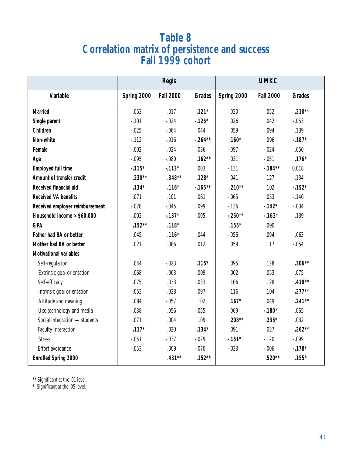## **Table 8 Correlation matrix of persistence and success Fall 1999 cohort**

|                                 |             | Regis            |               | <b>UMKC</b> |                  |               |  |
|---------------------------------|-------------|------------------|---------------|-------------|------------------|---------------|--|
| Variable                        | Spring 2000 | <b>Fall 2000</b> | <b>Grades</b> | Spring 2000 | <b>Fall 2000</b> | <b>Grades</b> |  |
| <b>Married</b>                  | .053        | .017             | $.121*$       | $-.020$     | .052             | $.210**$      |  |
| Single parent                   | $-.101$     | $-.024$          | $-125*$       | .026        | .042             | $-.053$       |  |
| Children                        | $-.025$     | $-.064$          | .044          | .059        | .094             | .139          |  |
| Non-white                       | $-112$      | $-.016$          | $-.264**$     | $.160*$     | .096             | $-.187*$      |  |
| Female                          | $-.002$     | $-.024$          | .036          | $-.097$     | $-.024$          | .050          |  |
| Age                             | $-.095$     | $-.080$          | $.162**$      | .031        | $-.051$          | $.176*$       |  |
| <b>Employed full time</b>       | $-115*$     | $-.113*$         | .003          | $-131$      | $-184**$         | 0.018         |  |
| Amount of transfer credit       | $.230**$    | $.348**$         | $.128*$       | .041        | .127             | $-134$        |  |
| Received financial aid          | $.134*$     | $.116*$          | $-165**$      | $.210**$    | .102             | $-152*$       |  |
| <b>Received VA benefits</b>     | .071        | .101             | .061          | $-.065$     | .053             | $-140$        |  |
| Received employer reimbursement | $-0.028$    | $-.045$          | .099          | $-136$      | $-142*$          | $-.004$       |  |
| Household income > \$60,000     | $-.002$     | $-137*$          | .005          | $-.250**$   | $-163*$          | .139          |  |
| <b>GPA</b>                      | $.152**$    | $.118*$          |               | $.155*$     | .090             |               |  |
| Father had BA or better         | .045        | $.116*$          | .044          | $-.056$     | .094             | .063          |  |
| Mother had BA or better         | .021        | .086             | .012          | .059        | .117             | $-.054$       |  |
| <b>Motivational variables</b>   |             |                  |               |             |                  |               |  |
| Self-regulation                 | .044        | $-0.023$         | $.115*$       | .095        | .128             | $.306**$      |  |
| Extrinsic goal orientation      | $-068$      | $-.063$          | .009          | .002        | .053             | $-.075$       |  |
| Self-efficacy                   | .075        | .033             | .033          | .106        | .128             | $.418**$      |  |
| Intrinsic goal orientation      | .053        | $-.028$          | .097          | .116        | .104             | $.277**$      |  |
| Attitude and meaning            | .084        | $-.057$          | .102          | $.167*$     | .049             | $.241**$      |  |
| Use technology and media        | $-.038$     | $-.056$          | .055          | $-.069$     | $-180*$          | $-.065$       |  |
| Social integration - students   | .071        | .004             | .109          | $.208**$    | $.235*$          | .032          |  |
| Faculty interaction             | $.117*$     | .020             | $.134*$       | .091        | .027             | $.262**$      |  |
| <b>Stress</b>                   | $-.051$     | $-.037$          | $-0.029$      | $-.151*$    | $-.120$          | $-.099$       |  |
| Effort avoidance                | $-.053$     | .009             | $-.070$       | $-.033$     | $-.006$          | $-.178*$      |  |
| <b>Enrolled Spring 2000</b>     |             | $.431**$         | $.152**$      |             | $.520**$         | $.155*$       |  |

\*\* Significant at the .01 level.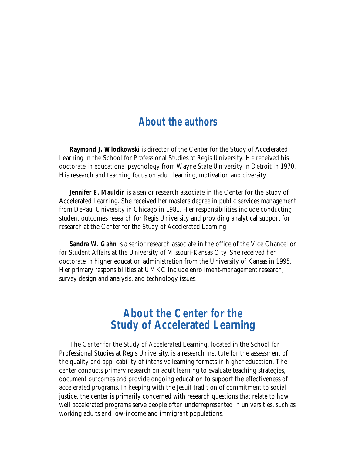### **About the authors**

**Raymond J. Wlodkowski** is director of the Center for the Study of Accelerated Learning in the School for Professional Studies at Regis University. He received his doctorate in educational psychology from Wayne State University in Detroit in 1970. His research and teaching focus on adult learning, motivation and diversity.

**Jennifer E. Mauldin** is a senior research associate in the Center for the Study of Accelerated Learning. She received her master's degree in public services management from DePaul University in Chicago in 1981. Her responsibilities include conducting student outcomes research for Regis University and providing analytical support for research at the Center for the Study of Accelerated Learning.

**Sandra W. Gahn** is a senior research associate in the office of the Vice Chancellor for Student Affairs at the University of Missouri-Kansas City. She received her doctorate in higher education administration from the University of Kansas in 1995. Her primary responsibilities at UMKC include enrollment-management research, survey design and analysis, and technology issues.

### **About the Center for the Study of Accelerated Learning**

The Center for the Study of Accelerated Learning, located in the School for Professional Studies at Regis University, is a research institute for the assessment of the quality and applicability of intensive learning formats in higher education. The center conducts primary research on adult learning to evaluate teaching strategies, document outcomes and provide ongoing education to support the effectiveness of accelerated programs. In keeping with the Jesuit tradition of commitment to social justice, the center is primarily concerned with research questions that relate to how well accelerated programs serve people often underrepresented in universities, such as working adults and low-income and immigrant populations.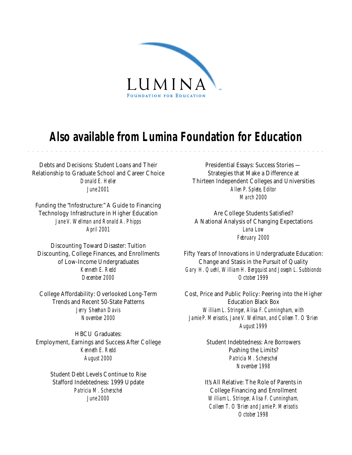

## **Also available from Lumina Foundation for Education**

aaaaaaaaaaaaaaaaaaaaaaaaaaaaaaaaaaa aaaaaaaaaaaaaaaaaaaaaaaaaaaaaa

Debts and Decisions: Student Loans and Their Relationship to Graduate School and Career Choice *Donald E. Heller June 2001*

Funding the "Infostructure:" A Guide to Financing Technology Infrastructure in Higher Education *Jane V. Wellman and Ronald A. Phipps April 2001*

Discounting Toward Disaster: Tuition Discounting, College Finances, and Enrollments of Low-Income Undergraduates *Kenneth E. Redd December 2000*

College Affordability: Overlooked Long-Term Trends and Recent 50-State Patterns *Jerry Sheehan Davis November 2000*

HBCU Graduates: Employment, Earnings and Success After College *Kenneth E. Redd August 2000*

> Student Debt Levels Continue to Rise Stafford Indebtedness: 1999 Update *Patricia M. Scherschel June 2000*

Presidential Essays: Success Stories — Strategies that Make a Difference at Thirteen Independent Colleges and Universities *Allen P. Splete, Editor March 2000*

Are College Students Satisfied? A National Analysis of Changing Expectations *Lana Low February 2000*

Fifty Years of Innovations in Undergraduate Education: Change and Stasis in the Pursuit of Quality *Gary H. Quehl, William H. Bergquist and Joseph L. Subbiondo October 1999*

Cost, Price and Public Policy: Peering into the Higher Education Black Box *William L. Stringer, Alisa F. Cunningham, with Jamie P. Merisotis, Jane V. Wellman, and Colleen T. O'Brien August 1999*

> Student Indebtedness: Are Borrowers Pushing the Limits? *Patricia M. Scherschel November 1998*

It's All Relative: The Role of Parents in College Financing and Enrollment *William L. Stringer, Alisa F. Cunningham, Colleen T. O'Brien and Jamie P. Merisotis October 1998*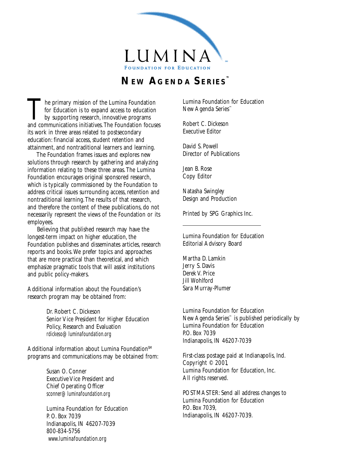

### **NEW AGENDA SERIES™**

The primary mission of the Lumina Foundation<br>for Education is to expand access to education<br>by supporting research, innovative programs<br>and communications initiatives. The Foundation forms for Education is to expand access to education and communications initiatives. The Foundation focuses its work in three areas related to postsecondary education: financial access, student retention and attainment, and nontraditional learners and learning.

 The Foundation frames issues and explores new solutions through research by gathering and analyzing information relating to these three areas. The Lumina Foundation encourages original sponsored research, which is typically commissioned by the Foundation to address critical issues surrounding access, retention and nontraditional learning. The results of that research, and therefore the content of these publications, do not necessarily represent the views of the Foundation or its employees.

 Believing that published research may have the longest-term impact on higher education, the Foundation publishes and disseminates articles, research reports and books. We prefer topics and approaches that are more practical than theoretical, and which emphasize pragmatic tools that will assist institutions and public policy-makers.

Additional information about the Foundation's research program may be obtained from:

> Dr. Robert C. Dickeson Senior Vice President for Higher Education Policy, Research and Evaluation *rdickeso@luminafoundation.org*

Additional information about Lumina Foundation<sup>SM</sup> programs and communications may be obtained from:

> Susan O. Conner Executive Vice President and Chief Operating Officer *sconner@luminafoundation.org*

Lumina Foundation for Education P. O. Box 7039 Indianapolis, IN 46207-7039 800-834-5756 *www.luminafoundation.org*

Lumina Foundation for Education New Agenda Series™

Robert C. Dickeson Executive Editor

David S. Powell Director of Publications

Jean B. Rose Copy Editor

Natasha Swingley Design and Production

Printed by SPG Graphics Inc.

Lumina Foundation for Education Editorial Advisory Board

Martha D. Lamkin Jerry S. Davis Derek V. Price Jill Wohlford Sara Murray-Plumer

Lumina Foundation for Education New Agenda Series™ is published periodically by Lumina Foundation for Education P.O. Box 7039 Indianapolis, IN 46207-7039

First-class postage paid at Indianapolis, Ind. Copyright © 2001, Lumina Foundation for Education, Inc. All rights reserved.

POSTMASTER: Send all address changes to Lumina Foundation for Education P.O. Box 7039, Indianapolis, IN 46207-7039.